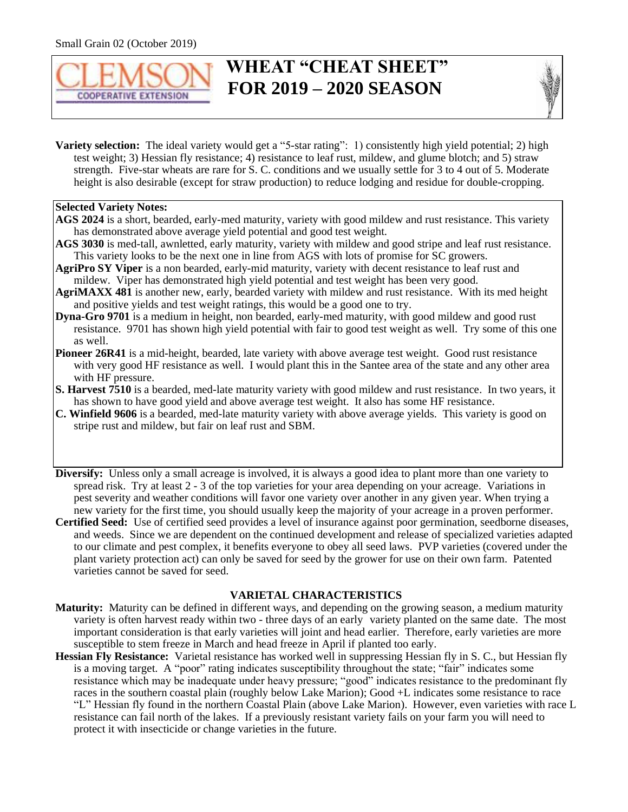

# **WHEAT "CHEAT SHEET" EQUALLER EXTENSION FOR 2019 – 2020 SEASON**



**Variety selection:** The ideal variety would get a "5-star rating": 1) consistently high yield potential; 2) high test weight; 3) Hessian fly resistance; 4) resistance to leaf rust, mildew, and glume blotch; and 5) straw strength. Five-star wheats are rare for S. C. conditions and we usually settle for 3 to 4 out of 5. Moderate height is also desirable (except for straw production) to reduce lodging and residue for double-cropping.

#### **Selected Variety Notes:**

- **AGS 2024** is a short, bearded, early-med maturity, variety with good mildew and rust resistance. This variety has demonstrated above average yield potential and good test weight.
- **AGS 3030** is med-tall, awnletted, early maturity, variety with mildew and good stripe and leaf rust resistance. This variety looks to be the next one in line from AGS with lots of promise for SC growers.
- **AgriPro SY Viper** is a non bearded, early-mid maturity, variety with decent resistance to leaf rust and mildew. Viper has demonstrated high yield potential and test weight has been very good.
- **AgriMAXX 481** is another new, early, bearded variety with mildew and rust resistance. With its med height and positive yields and test weight ratings, this would be a good one to try.
- **Dyna-Gro 9701** is a medium in height, non bearded, early-med maturity, with good mildew and good rust resistance. 9701 has shown high yield potential with fair to good test weight as well. Try some of this one as well.
- **Pioneer 26R41** is a mid-height, bearded, late variety with above average test weight. Good rust resistance with very good HF resistance as well. I would plant this in the Santee area of the state and any other area with HF pressure.
- **S. Harvest 7510** is a bearded, med-late maturity variety with good mildew and rust resistance. In two years, it has shown to have good yield and above average test weight. It also has some HF resistance.
- **C. Winfield 9606** is a bearded, med-late maturity variety with above average yields. This variety is good on stripe rust and mildew, but fair on leaf rust and SBM.
- **Diversify:** Unless only a small acreage is involved, it is always a good idea to plant more than one variety to spread risk. Try at least 2 - 3 of the top varieties for your area depending on your acreage. Variations in pest severity and weather conditions will favor one variety over another in any given year. When trying a new variety for the first time, you should usually keep the majority of your acreage in a proven performer.
- **Certified Seed:** Use of certified seed provides a level of insurance against poor germination, seedborne diseases, and weeds. Since we are dependent on the continued development and release of specialized varieties adapted to our climate and pest complex, it benefits everyone to obey all seed laws. PVP varieties (covered under the plant variety protection act) can only be saved for seed by the grower for use on their own farm. Patented varieties cannot be saved for seed.

#### **VARIETAL CHARACTERISTICS**

- **Maturity:** Maturity can be defined in different ways, and depending on the growing season, a medium maturity variety is often harvest ready within two - three days of an early variety planted on the same date. The most important consideration is that early varieties will joint and head earlier. Therefore, early varieties are more susceptible to stem freeze in March and head freeze in April if planted too early.
- **Hessian Fly Resistance:** Varietal resistance has worked well in suppressing Hessian fly in S. C., but Hessian fly is a moving target. A "poor" rating indicates susceptibility throughout the state; "fair" indicates some resistance which may be inadequate under heavy pressure; "good" indicates resistance to the predominant fly races in the southern coastal plain (roughly below Lake Marion); Good +L indicates some resistance to race "L" Hessian fly found in the northern Coastal Plain (above Lake Marion). However, even varieties with race L resistance can fail north of the lakes. If a previously resistant variety fails on your farm you will need to protect it with insecticide or change varieties in the future.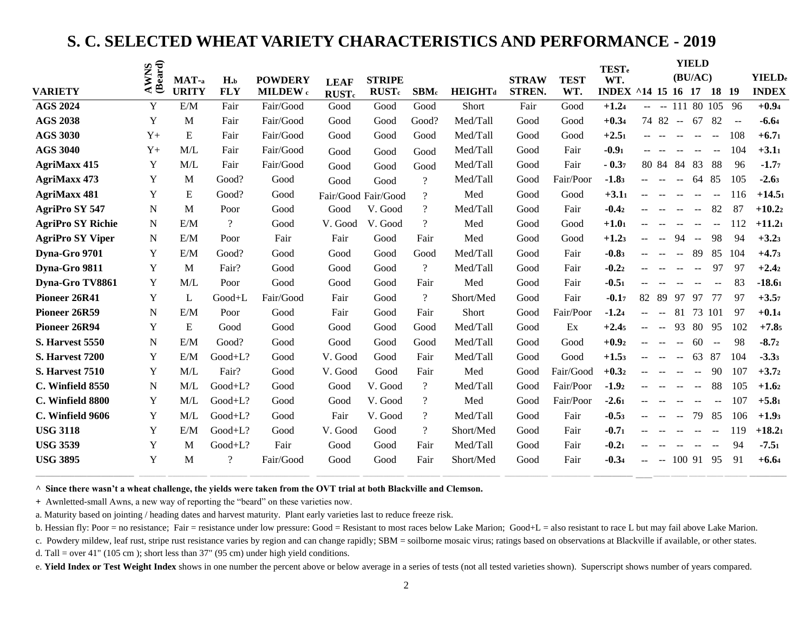### **S. C. SELECTED WHEAT VARIETY CHARACTERISTICS AND PERFORMANCE - 2019**

|                          |                 |              |                          |                |                          |                          |                          |                |               |             | <b>TEST</b> <sub>e</sub> |        |                |              | <b>YIELD</b>  |                          |        |                |
|--------------------------|-----------------|--------------|--------------------------|----------------|--------------------------|--------------------------|--------------------------|----------------|---------------|-------------|--------------------------|--------|----------------|--------------|---------------|--------------------------|--------|----------------|
|                          | AWNS<br>(Beard) | MAT-a        | $H_{\cdot b}$            | <b>POWDERY</b> | <b>LEAF</b>              | <b>STRIPE</b>            |                          |                | <b>STRAW</b>  | <b>TEST</b> | WT.                      |        |                |              | (BU/AC)       |                          |        | <b>YIELD</b> e |
| <b>VARIETY</b>           |                 | <b>URITY</b> | <b>FLY</b>               | MILDEW c       | <b>RUST</b> <sub>c</sub> | <b>RUST</b> <sub>c</sub> | SBM <sub>c</sub>         | <b>HEIGHTd</b> | <b>STREN.</b> | WT.         | INDEX ^14 15 16 17       |        |                |              |               | 18 19                    |        | <b>INDEX</b>   |
| <b>AGS 2024</b>          | Y               | E/M          | Fair                     | Fair/Good      | Good                     | Good                     | Good                     | Short          | Fair          | Good        | $+1.24$                  | $\sim$ |                |              |               | $-1118010596$            |        | $+0.94$        |
| <b>AGS 2038</b>          | Y               | M            | Fair                     | Fair/Good      | Good                     | Good                     | Good?                    | Med/Tall       | Good          | Good        | $+0.34$                  |        | 74 82 --       |              | 67            | 82                       | $\sim$ | $-6.64$        |
| <b>AGS 3030</b>          | $Y +$           | E            | Fair                     | Fair/Good      | Good                     | Good                     | Good                     | Med/Tall       | Good          | Good        | $+2.51$                  |        |                |              |               | $\mathbf{u}$             | 108    | $+6.71$        |
| <b>AGS 3040</b>          | $Y+$            | M/L          | Fair                     | Fair/Good      | Good                     | Good                     | Good                     | Med/Tall       | Good          | Fair        | $-0.91$                  |        |                |              |               | $\mathbf{u}$             | 104    | $+3.11$        |
| <b>AgriMaxx 415</b>      | Y               | M/L          | Fair                     | Fair/Good      | Good                     | Good                     | Good                     | Med/Tall       | Good          | Fair        | $-0.37$                  |        | 80 84          | 84           | 83            | 88                       | 96     | $-1.77$        |
| <b>AgriMaxx 473</b>      | Y               | M            | Good?                    | Good           | Good                     | Good                     | $\gamma$                 | Med/Tall       | Good          | Fair/Poor   | $-1.83$                  |        | $\mathbf{u}$   | $\mathbf{u}$ | 64            | 85                       | 105    | $-2.63$        |
| <b>AgriMaxx 481</b>      | Y               | E            | Good?                    | Good           |                          | Fair/Good Fair/Good      | $\overline{?}$           | Med            | Good          | Good        | $+3.11$                  |        |                |              |               |                          | 116    | $+14.51$       |
| <b>AgriPro SY 547</b>    | N               | M            | Poor                     | Good           | Good                     | V. Good                  | $\overline{?}$           | Med/Tall       | Good          | Fair        | $-0.42$                  |        |                |              |               | 82                       | 87     | $+10.22$       |
| <b>AgriPro SY Richie</b> | N               | E/M          | $\overline{\mathcal{L}}$ | Good           | V. Good                  | V. Good                  | $\overline{\mathcal{L}}$ | Med            | Good          | Good        | $+1.01$                  |        |                |              |               | $\sim$ $\sim$            | 112    | $+11.21$       |
| <b>AgriPro SY Viper</b>  | N               | E/M          | Poor                     | Fair           | Fair                     | Good                     | Fair                     | Med            | Good          | Good        | $+1.23$                  |        |                | 94           | $\sim$        | 98                       | 94     | $+3.23$        |
| Dyna-Gro 9701            | Y               | E/M          | Good?                    | Good           | Good                     | Good                     | Good                     | Med/Tall       | Good          | Fair        | $-0.83$                  |        |                |              | -89           | 85                       | 104    | $+4.73$        |
| Dyna-Gro 9811            | Y               | M            | Fair?                    | Good           | Good                     | Good                     | $\overline{?}$           | Med/Tall       | Good          | Fair        | $-0.22$                  |        |                |              | $\sim$ $\sim$ | 97                       | 97     | $+2.42$        |
| Dyna-Gro TV8861          | Y               | M/L          | Poor                     | Good           | Good                     | Good                     | Fair                     | Med            | Good          | Fair        | $-0.51$                  |        |                |              | $-$           | $\overline{\phantom{m}}$ | 83     | $-18.61$       |
| Pioneer 26R41            | $\mathbf Y$     | L            | Good+L                   | Fair/Good      | Fair                     | Good                     | $\overline{?}$           | Short/Med      | Good          | Fair        | $-0.17$                  | 82     | -89            | 97           | 97            | 77                       | 97     | $+3.57$        |
| Pioneer 26R59            | $\mathbf N$     | E/M          | Poor                     | Good           | Fair                     | Good                     | Fair                     | Short          | Good          | Fair/Poor   | $-1.24$                  |        |                | 81           | 73            | 101                      | 97     | $+0.14$        |
| Pioneer 26R94            | Y               | E            | Good                     | Good           | Good                     | Good                     | Good                     | Med/Tall       | Good          | Ex          | $+2.45$                  |        | $\overline{a}$ | 93           | 80            | -95                      | 102    | $+7.85$        |
| <b>S. Harvest 5550</b>   | N               | E/M          | Good?                    | Good           | Good                     | Good                     | Good                     | Med/Tall       | Good          | Good        | $+0.92$                  |        |                |              | 60            | $\sim$                   | 98     | $-8.72$        |
| <b>S. Harvest 7200</b>   | Y               | E/M          | Good+L?                  | Good           | V. Good                  | Good                     | Fair                     | Med/Tall       | Good          | Good        | $+1.53$                  |        |                |              | 63            | 87                       | 104    | $-3.33$        |
| <b>S. Harvest 7510</b>   | Y               | M/L          | Fair?                    | Good           | V. Good                  | Good                     | Fair                     | Med            | Good          | Fair/Good   | $+0.32$                  |        |                |              | $\sim$ $\sim$ | 90                       | 107    | $+3.72$        |
| C. Winfield 8550         | $\mathbf N$     | M/L          | $Good+L?$                | Good           | Good                     | V. Good                  | $\overline{?}$           | Med/Tall       | Good          | Fair/Poor   | $-1.92$                  |        |                |              |               | 88                       | 105    | $+1.62$        |
| C. Winfield 8800         | Y               | M/L          | Good+L?                  | Good           | Good                     | V. Good                  | $\overline{\mathcal{L}}$ | Med            | Good          | Fair/Poor   | $-2.61$                  |        |                |              |               | $\overline{a}$           | 107    | $+5.81$        |
| C. Winfield 9606         | Y               | M/L          | Good+L?                  | Good           | Fair                     | V. Good                  | $\overline{\mathcal{C}}$ | Med/Tall       | Good          | Fair        | $-0.53$                  |        |                | $\mathbf{u}$ | 79            | 85                       | 106    | $+1.93$        |
| <b>USG 3118</b>          | Y               | E/M          | Good+L?                  | Good           | V. Good                  | Good                     | $\overline{\mathcal{C}}$ | Short/Med      | Good          | Fair        | $-0.71$                  |        |                |              |               |                          | 119    | $+18.21$       |
| <b>USG 3539</b>          | Y               | M            | $Good+L?$                | Fair           | Good                     | Good                     | Fair                     | Med/Tall       | Good          | Fair        | $-0.21$                  |        |                |              |               |                          | 94     | $-7.51$        |
| <b>USG 3895</b>          | Y               | M            | $\gamma$                 | Fair/Good      | Good                     | Good                     | Fair                     | Short/Med      | Good          | Fair        | $-0.34$                  |        | $\sim$         | 100.91       |               | 95                       | 91     | $+6.64$        |
|                          |                 |              |                          |                |                          |                          |                          |                |               |             |                          |        |                |              |               |                          |        |                |

**^ Since there wasn't a wheat challenge, the yields were taken from the OVT trial at both Blackville and Clemson.**

**+** Awnletted-small Awns, a new way of reporting the "beard" on these varieties now.

a. Maturity based on jointing / heading dates and harvest maturity. Plant early varieties last to reduce freeze risk.

b. Hessian fly: Poor = no resistance; Fair = resistance under low pressure: Good = Resistant to most races below Lake Marion; Good+L = also resistant to race L but may fail above Lake Marion.

\_\_\_\_\_\_\_\_ \_\_\_\_\_\_\_\_ \_\_\_\_\_\_\_\_ \_\_\_\_\_\_\_\_ \_\_\_\_\_\_\_\_\_\_\_ **\_\_\_\_\_\_\_\_\_\_\_\_\_\_\_\_\_\_**

**\_\_\_\_\_\_\_\_\_\_\_\_\_\_\_\_\_\_\_\_\_\_\_\_\_\_\_\_\_\_\_\_\_\_\_\_\_\_\_\_\_\_\_\_\_\_\_\_** \_\_\_\_\_\_\_\_\_\_\_\_\_ \_\_\_\_\_\_\_\_\_\_\_\_\_\_\_\_\_\_\_ \_\_\_\_\_\_\_\_\_\_\_\_\_\_\_\_\_\_ \_\_\_\_\_\_\_\_\_\_\_\_\_\_\_\_\_\_\_\_\_\_\_\_\_\_\_\_\_ \_\_\_\_\_\_\_\_\_\_\_\_\_\_\_\_\_\_\_\_\_ \_\_\_\_\_\_\_\_\_\_\_\_\_\_\_\_\_\_\_\_ \_\_\_\_\_\_\_\_\_\_\_\_\_\_\_\_ \_\_\_\_\_\_\_\_\_\_\_\_\_\_\_\_\_\_\_\_\_\_\_\_\_\_\_\_ \_\_\_\_\_\_\_\_\_\_\_\_\_\_\_\_\_\_\_\_\_ \_\_\_\_\_\_\_\_\_\_\_\_\_\_\_\_\_\_\_ **\_\_\_\_\_\_\_\_\_\_\_\_\_\_\_\_\_\_\_ \_\_\_\_\_\_\_\_**

c. Powdery mildew, leaf rust, stripe rust resistance varies by region and can change rapidly; SBM = soilborne mosaic virus; ratings based on observations at Blackville if available, or other states.

d. Tall = over 41" (105 cm ); short less than 37" (95 cm) under high yield conditions.

e. **Yield Index or Test Weight Index** shows in one number the percent above or below average in a series of tests (not all tested varieties shown). Superscript shows number of years compared.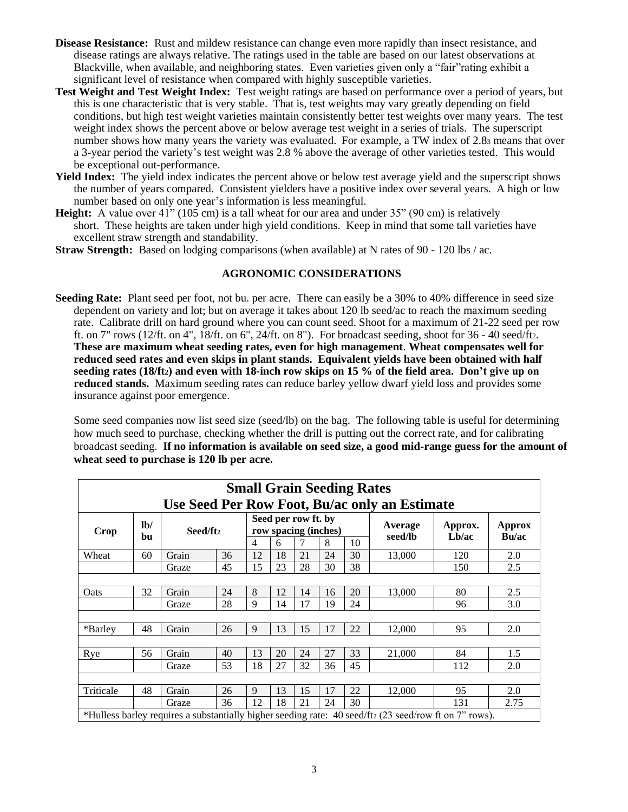- **Disease Resistance:** Rust and mildew resistance can change even more rapidly than insect resistance, and disease ratings are always relative. The ratings used in the table are based on our latest observations at Blackville, when available, and neighboring states. Even varieties given only a "fair"rating exhibit a significant level of resistance when compared with highly susceptible varieties.
- **Test Weight and Test Weight Index:** Test weight ratings are based on performance over a period of years, but this is one characteristic that is very stable. That is, test weights may vary greatly depending on field conditions, but high test weight varieties maintain consistently better test weights over many years. The test weight index shows the percent above or below average test weight in a series of trials. The superscript number shows how many years the variety was evaluated. For example, a TW index of 2.8<sup>3</sup> means that over a 3-year period the variety's test weight was 2.8 % above the average of other varieties tested. This would be exceptional out-performance.
- Yield Index: The yield index indicates the percent above or below test average yield and the superscript shows the number of years compared. Consistent yielders have a positive index over several years. A high or low number based on only one year's information is less meaningful.
- **Height:** A value over  $41$ <sup>"</sup> (105 cm) is a tall wheat for our area and under 35<sup>"</sup> (90 cm) is relatively short. These heights are taken under high yield conditions. Keep in mind that some tall varieties have excellent straw strength and standability.
- **Straw Strength:** Based on lodging comparisons (when available) at N rates of 90 120 lbs / ac.

#### **AGRONOMIC CONSIDERATIONS**

**Seeding Rate:** Plant seed per foot, not bu. per acre. There can easily be a 30% to 40% difference in seed size dependent on variety and lot; but on average it takes about 120 lb seed/ac to reach the maximum seeding rate. Calibrate drill on hard ground where you can count seed. Shoot for a maximum of 21-22 seed per row ft. on 7" rows (12/ft. on 4", 18/ft. on 6", 24/ft. on 8"). For broadcast seeding, shoot for 36 - 40 seed/ft2. **These are maximum wheat seeding rates, even for high management**. **Wheat compensates well for reduced seed rates and even skips in plant stands. Equivalent yields have been obtained with half seeding rates (18/ft2) and even with 18-inch row skips on 15 % of the field area. Don't give up on**  reduced stands. Maximum seeding rates can reduce barley yellow dwarf yield loss and provides some insurance against poor emergence.

Some seed companies now list seed size (seed/lb) on the bag. The following table is useful for determining how much seed to purchase, checking whether the drill is putting out the correct rate, and for calibrating broadcast seeding. **If no information is available on seed size, a good mid-range guess for the amount of wheat seed to purchase is 120 lb per acre.**

|                                                         | <b>Small Grain Seeding Rates</b> |          |    |                |    |                     |                      |    |                                                                                                        |                  |                 |  |
|---------------------------------------------------------|----------------------------------|----------|----|----------------|----|---------------------|----------------------|----|--------------------------------------------------------------------------------------------------------|------------------|-----------------|--|
| Use Seed Per Row Foot, Bu/ac only an Estimate           |                                  |          |    |                |    |                     |                      |    |                                                                                                        |                  |                 |  |
| Crop                                                    | lb/                              | Seed/ft2 |    |                |    | Seed per row ft. by | row spacing (inches) |    | Average<br>seed/lb                                                                                     | Approx.<br>Lb/ac | Approx<br>Bu/ac |  |
|                                                         | bu                               |          |    | $\overline{4}$ | 6  |                     | 8                    | 10 |                                                                                                        |                  |                 |  |
| Wheat                                                   | 60                               | Grain    | 36 | 12             | 18 | 21                  | 24                   | 30 | 13,000                                                                                                 | 120              | 2.0             |  |
| 38<br>15<br>23<br>28<br>30<br>45<br>2.5<br>150<br>Graze |                                  |          |    |                |    |                     |                      |    |                                                                                                        |                  |                 |  |
|                                                         |                                  |          |    |                |    |                     |                      |    |                                                                                                        |                  |                 |  |
| Oats                                                    | 32                               | Grain    | 24 | 8              | 12 | 14                  | 16                   | 20 | 13,000                                                                                                 | 80               | 2.5             |  |
|                                                         |                                  | Graze    | 28 | 9              | 14 | 17                  | 19                   | 24 |                                                                                                        | 96               | 3.0             |  |
|                                                         |                                  |          |    |                |    |                     |                      |    |                                                                                                        |                  |                 |  |
| *Barley                                                 | 48                               | Grain    | 26 | 9              | 13 | 15                  | 17                   | 22 | 12,000                                                                                                 | 95               | 2.0             |  |
|                                                         |                                  |          |    |                |    |                     |                      |    |                                                                                                        |                  |                 |  |
| Rye                                                     | 56                               | Grain    | 40 | 13             | 20 | 24                  | 27                   | 33 | 21,000                                                                                                 | 84               | 1.5             |  |
|                                                         |                                  | Graze    | 53 | 18             | 27 | 32                  | 36                   | 45 |                                                                                                        | 112              | 2.0             |  |
|                                                         |                                  |          |    |                |    |                     |                      |    |                                                                                                        |                  |                 |  |
| Triticale                                               | 48                               | Grain    | 26 | 9              | 13 | 15                  | 17                   | 22 | 12,000                                                                                                 | 95               | 2.0             |  |
|                                                         |                                  | Graze    | 36 | 12             | 18 | 21                  | 24                   | 30 |                                                                                                        | 131              | 2.75            |  |
|                                                         |                                  |          |    |                |    |                     |                      |    | *Hulless barley requires a substantially higher seeding rate: 40 seed/ft2 (23 seed/row ft on 7" rows). |                  |                 |  |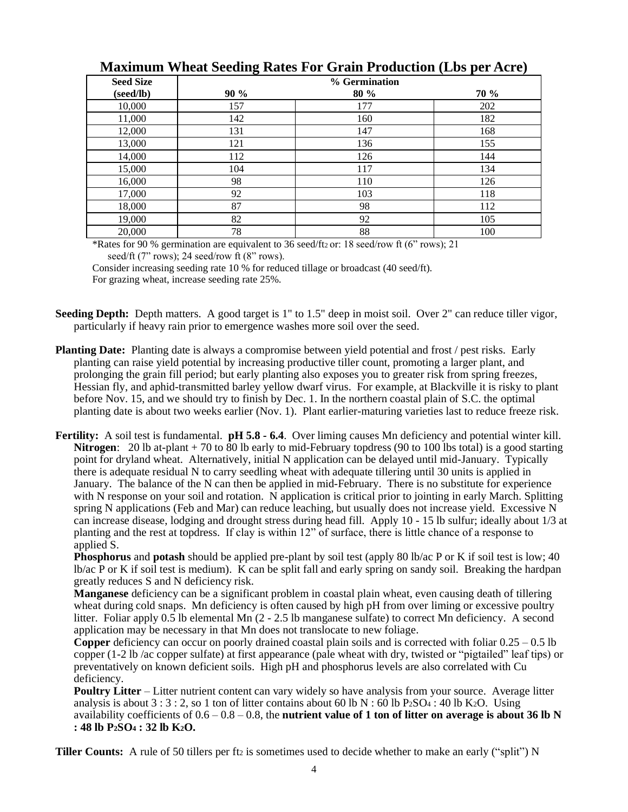| <b>Seed Size</b> |      | % Germination |      |
|------------------|------|---------------|------|
| (seed/lb)        | 90 % | 80 %          | 70 % |
| 10,000           | 157  | 177           | 202  |
| 11,000           | 142  | 160           | 182  |
| 12,000           | 131  | 147           | 168  |
| 13,000           | 121  | 136           | 155  |
| 14,000           | 112  | 126           | 144  |
| 15,000           | 104  | 117           | 134  |
| 16,000           | 98   | 110           | 126  |
| 17,000           | 92   | 103           | 118  |
| 18,000           | 87   | 98            | 112  |
| 19,000           | 82   | 92            | 105  |
| 20,000           | 78   | 88            | 100  |

### **Maximum Wheat Seeding Rates For Grain Production (Lbs per Acre)**

\*Rates for 90 % germination are equivalent to 36 seed/ft2 or: 18 seed/row ft (6" rows); 21 seed/ft  $(7" rows)$ ; 24 seed/row ft  $(8" rows)$ .

Consider increasing seeding rate 10 % for reduced tillage or broadcast (40 seed/ft). For grazing wheat, increase seeding rate 25%.

- **Seeding Depth:** Depth matters. A good target is 1" to 1.5" deep in moist soil. Over 2" can reduce tiller vigor, particularly if heavy rain prior to emergence washes more soil over the seed.
- **Planting Date:** Planting date is always a compromise between yield potential and frost / pest risks. Early planting can raise yield potential by increasing productive tiller count, promoting a larger plant, and prolonging the grain fill period; but early planting also exposes you to greater risk from spring freezes, Hessian fly, and aphid-transmitted barley yellow dwarf virus. For example, at Blackville it is risky to plant before Nov. 15, and we should try to finish by Dec. 1. In the northern coastal plain of S.C. the optimal planting date is about two weeks earlier (Nov. 1). Plant earlier-maturing varieties last to reduce freeze risk.
- **Fertility:** A soil test is fundamental. **pH 5.8 - 6.4**. Over liming causes Mn deficiency and potential winter kill. **Nitrogen**: 20 lb at-plant + 70 to 80 lb early to mid-February topdress (90 to 100 lbs total) is a good starting point for dryland wheat. Alternatively, initial N application can be delayed until mid-January. Typically there is adequate residual N to carry seedling wheat with adequate tillering until 30 units is applied in January. The balance of the N can then be applied in mid-February. There is no substitute for experience with N response on your soil and rotation. N application is critical prior to jointing in early March. Splitting spring N applications (Feb and Mar) can reduce leaching, but usually does not increase yield. Excessive N can increase disease, lodging and drought stress during head fill. Apply 10 - 15 lb sulfur; ideally about 1/3 at planting and the rest at topdress. If clay is within 12" of surface, there is little chance of a response to applied S.

**Phosphorus** and **potash** should be applied pre-plant by soil test (apply 80 lb/ac P or K if soil test is low; 40 lb/ac P or K if soil test is medium). K can be split fall and early spring on sandy soil. Breaking the hardpan greatly reduces S and N deficiency risk.

**Manganese** deficiency can be a significant problem in coastal plain wheat, even causing death of tillering wheat during cold snaps. Mn deficiency is often caused by high pH from over liming or excessive poultry litter. Foliar apply 0.5 lb elemental Mn (2 - 2.5 lb manganese sulfate) to correct Mn deficiency. A second application may be necessary in that Mn does not translocate to new foliage.

**Copper** deficiency can occur on poorly drained coastal plain soils and is corrected with foliar 0.25 – 0.5 lb copper (1-2 lb /ac copper sulfate) at first appearance (pale wheat with dry, twisted or "pigtailed" leaf tips) or preventatively on known deficient soils. High pH and phosphorus levels are also correlated with Cu deficiency.

**Poultry Litter** – Litter nutrient content can vary widely so have analysis from your source. Average litter analysis is about  $3:3:2$ , so 1 ton of litter contains about 60 lb N : 60 lb P2SO<sub>4</sub>: 40 lb K2O. Using availability coefficients of  $0.6 - 0.8 - 0.8$ , the **nutrient value of 1 ton of litter on average is about 36 lb N : 48 lb P2SO<sup>4</sup> : 32 lb K2O.**

**Tiller Counts:** A rule of 50 tillers per ft<sub>2</sub> is sometimes used to decide whether to make an early ("split") N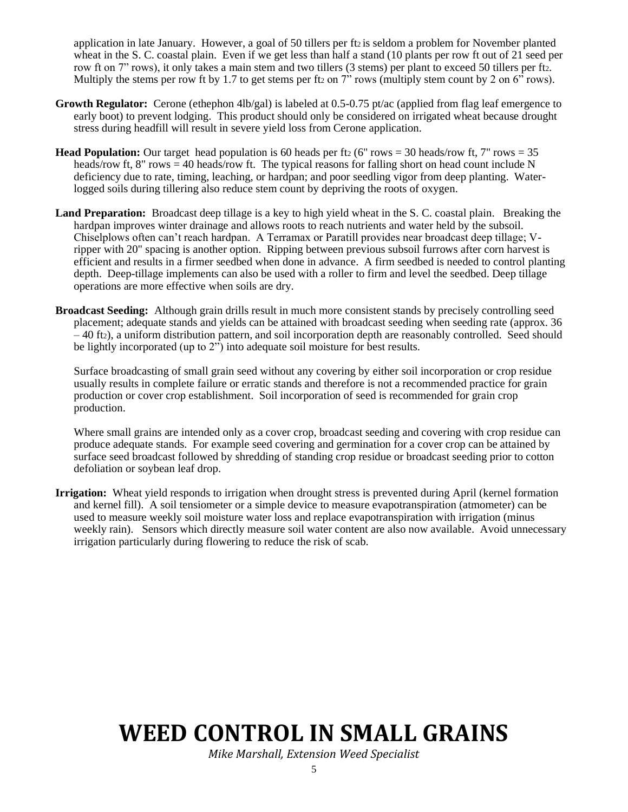application in late January. However, a goal of 50 tillers per ft<sup>2</sup> is seldom a problem for November planted wheat in the S. C. coastal plain. Even if we get less than half a stand (10 plants per row ft out of 21 seed per row ft on 7" rows), it only takes a main stem and two tillers (3 stems) per plant to exceed 50 tillers per ft2. Multiply the stems per row ft by 1.7 to get stems per ft<sub>2</sub> on 7" rows (multiply stem count by 2 on  $6^{5}$  rows).

- **Growth Regulator:** Cerone (ethephon 4lb/gal) is labeled at 0.5-0.75 pt/ac (applied from flag leaf emergence to early boot) to prevent lodging. This product should only be considered on irrigated wheat because drought stress during headfill will result in severe yield loss from Cerone application.
- **Head Population:** Our target head population is 60 heads per ft<sub>2</sub> (6" rows = 30 heads/row ft, 7" rows = 35 heads/row ft, 8" rows  $=$  40 heads/row ft. The typical reasons for falling short on head count include N deficiency due to rate, timing, leaching, or hardpan; and poor seedling vigor from deep planting. Waterlogged soils during tillering also reduce stem count by depriving the roots of oxygen.
- **Land Preparation:** Broadcast deep tillage is a key to high yield wheat in the S. C. coastal plain. Breaking the hardpan improves winter drainage and allows roots to reach nutrients and water held by the subsoil. Chiselplows often can't reach hardpan. A Terramax or Paratill provides near broadcast deep tillage; Vripper with 20" spacing is another option. Ripping between previous subsoil furrows after corn harvest is efficient and results in a firmer seedbed when done in advance. A firm seedbed is needed to control planting depth. Deep-tillage implements can also be used with a roller to firm and level the seedbed. Deep tillage operations are more effective when soils are dry.
- **Broadcast Seeding:** Although grain drills result in much more consistent stands by precisely controlling seed placement; adequate stands and yields can be attained with broadcast seeding when seeding rate (approx. 36 – 40 ft2), a uniform distribution pattern, and soil incorporation depth are reasonably controlled. Seed should be lightly incorporated (up to 2") into adequate soil moisture for best results.

Surface broadcasting of small grain seed without any covering by either soil incorporation or crop residue usually results in complete failure or erratic stands and therefore is not a recommended practice for grain production or cover crop establishment. Soil incorporation of seed is recommended for grain crop production.

Where small grains are intended only as a cover crop, broadcast seeding and covering with crop residue can produce adequate stands. For example seed covering and germination for a cover crop can be attained by surface seed broadcast followed by shredding of standing crop residue or broadcast seeding prior to cotton defoliation or soybean leaf drop.

**Irrigation:** Wheat yield responds to irrigation when drought stress is prevented during April (kernel formation and kernel fill). A soil tensiometer or a simple device to measure evapotranspiration (atmometer) can be used to measure weekly soil moisture water loss and replace evapotranspiration with irrigation (minus weekly rain). Sensors which directly measure soil water content are also now available. Avoid unnecessary irrigation particularly during flowering to reduce the risk of scab.

# **WEED CONTROL IN SMALL GRAINS**

*Mike Marshall, Extension Weed Specialist*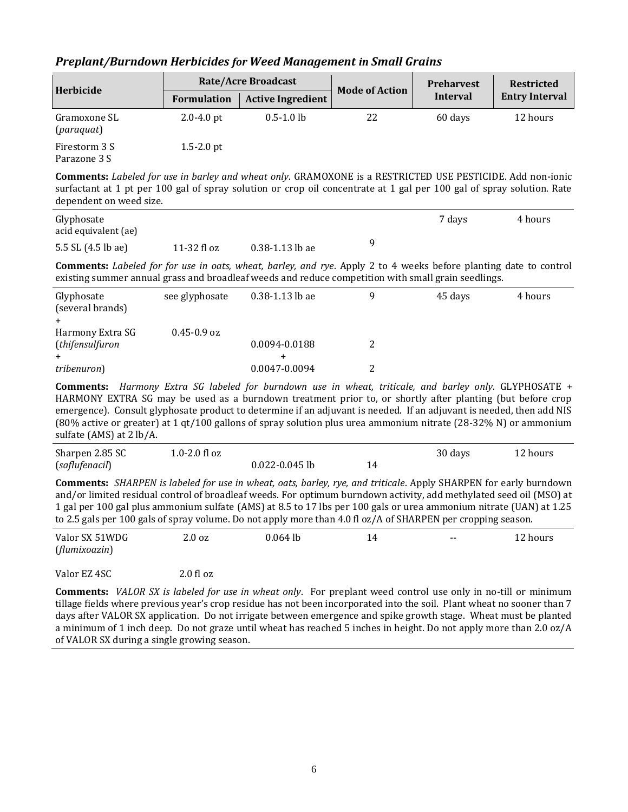#### *Preplant/Burndown Herbicides for Weed Management in Small Grains*

| Herbicide                     |                    | <b>Rate/Acre Broadcast</b> | <b>Mode of Action</b> | <b>Preharvest</b> | <b>Restricted</b>     |
|-------------------------------|--------------------|----------------------------|-----------------------|-------------------|-----------------------|
|                               | <b>Formulation</b> | <b>Active Ingredient</b>   |                       | Interval          | <b>Entry Interval</b> |
| Gramoxone SL<br>(paraquat)    | $2.0 - 4.0$ pt     | $0.5 - 1.0$ lb             | 22                    | 60 days           | 12 hours              |
| Firestorm 3 S<br>Parazone 3 S | $1.5 - 2.0$ pt     |                            |                       |                   |                       |

**Comments:** *Labeled for use in barley and wheat only*. GRAMOXONE is a RESTRICTED USE PESTICIDE. Add non-ionic surfactant at 1 pt per 100 gal of spray solution or crop oil concentrate at 1 gal per 100 gal of spray solution. Rate dependent on weed size.

| Glyphosate<br>acid equivalent (ae) |               |                     |   | 7 days | 4 hours |
|------------------------------------|---------------|---------------------|---|--------|---------|
| 5.5 SL (4.5 lb ae)                 | $11-32$ fl oz | $0.38 - 1.13$ lb ae | a |        |         |

**Comments:** *Labeled for for use in oats, wheat, barley, and rye*. Apply 2 to 4 weeks before planting date to control existing summer annual grass and broadleaf weeds and reduce competition with small grain seedlings.

| Glyphosate<br>(several brands) | see glyphosate  | $0.38 - 1.13$ lb ae | 45 days | 4 hours |
|--------------------------------|-----------------|---------------------|---------|---------|
| Harmony Extra SG               | $0.45 - 0.9$ oz |                     |         |         |
| (thifensulfuron                |                 | 0.0094-0.0188       |         |         |
|                                |                 |                     |         |         |
| tribenuron)                    |                 | 0.0047-0.0094       |         |         |

**Comments:** *Harmony Extra SG labeled for burndown use in wheat, triticale, and barley only*. GLYPHOSATE + HARMONY EXTRA SG may be used as a burndown treatment prior to, or shortly after planting (but before crop emergence). Consult glyphosate product to determine if an adjuvant is needed. If an adjuvant is needed, then add NIS (80% active or greater) at 1 qt/100 gallons of spray solution plus urea ammonium nitrate (28-32% N) or ammonium sulfate (AMS) at 2 lb/A.

| Sharpen 2.85 SC | 1.0-2.0 fl oz |                    |    | 30 days | 12 hours |
|-----------------|---------------|--------------------|----|---------|----------|
| (saflufenacil)  |               | $0.022 - 0.045$ lb | ۱4 |         |          |

**Comments:** *SHARPEN is labeled for use in wheat, oats, barley, rye, and triticale*. Apply SHARPEN for early burndown and/or limited residual control of broadleaf weeds. For optimum burndown activity, add methylated seed oil (MSO) at 1 gal per 100 gal plus ammonium sulfate (AMS) at 8.5 to 17 lbs per 100 gals or urea ammonium nitrate (UAN) at 1.25 to 2.5 gals per 100 gals of spray volume. Do not apply more than 4.0 fl oz/A of SHARPEN per cropping season.

| Valor SX 51WDG | $2.0 \text{ oz}$ | $0.064$ lb | 14 | $- -$ | 12 hours |
|----------------|------------------|------------|----|-------|----------|
| (flumixoazin)  |                  |            |    |       |          |

Valor EZ 4SC 2.0 fl oz

**Comments:** *VALOR SX is labeled for use in wheat only*. For preplant weed control use only in no-till or minimum tillage fields where previous year's crop residue has not been incorporated into the soil. Plant wheat no sooner than 7 days after VALOR SX application. Do not irrigate between emergence and spike growth stage. Wheat must be planted a minimum of 1 inch deep. Do not graze until wheat has reached 5 inches in height. Do not apply more than 2.0 oz/A of VALOR SX during a single growing season.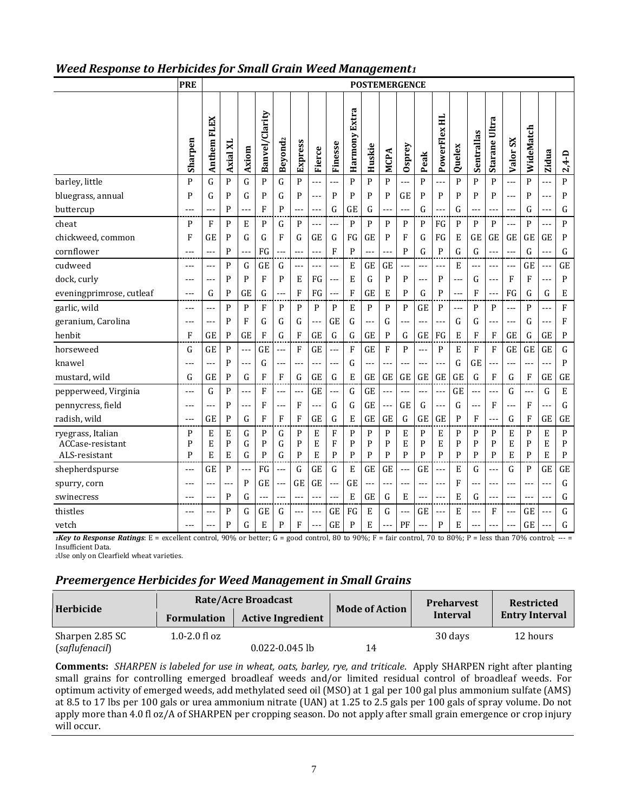#### *Weed Response to Herbicides for Small Grain Weed Management<sup>1</sup>*

| Harmony Extra<br>Banvel/Clarity<br>PowerFlex HL<br>Anthem FLEX<br>Starane Ultra<br>WideMatch<br>Sentrallas<br>Beyond <sub>2</sub><br>Sharpen<br>$S_{\rm X}$<br>Express<br>Finesse<br>Axial XI<br>Huskie<br>Osprey<br>Quelex<br>Fierce<br>Axiom<br><b>MCPA</b><br>Valor:<br>Zidua<br>$2,4-D$<br>Peak<br>$\mathbf{P}$<br>P<br>P<br>P<br>P<br>$\mathbf{P}$<br>P<br>P<br>barley, little<br>P<br>G<br>P<br>G<br>G<br>P<br>$\mathbf{P}$<br>P<br>---<br>---<br>---<br>$---$<br>P<br>P<br>G<br>P<br>P<br>P<br>P<br>P<br>P<br>GE<br>P<br>P<br>P<br>P<br>P<br>P<br>P<br>bluegrass, annual<br>G<br>G<br>$---$<br>$---$<br>$\overline{a}$<br>P<br>F<br>G<br>G<br>G<br>G<br>G<br>P<br>G<br>GE<br>buttercup<br>---<br>---<br>$--$<br>---<br>---<br>---<br>$---$<br>$---$<br>---<br>---<br>---<br>---<br>$\mathbf{P}$<br>$\mathsf{P}$<br>$\mathbf{P}$<br>P<br>$\mathbf{P}$<br>$\mathbf{P}$<br>P<br>F<br>E<br>P<br>G<br>P<br>P<br>FG<br>$\mathbf{P}$<br>P<br>P<br>P<br>cheat<br>---<br>G<br>chickweed, common<br>F<br>GE<br>P<br>G<br>G<br>G<br>GE<br>P<br>F<br>FG<br>E<br>GE<br>GE<br>GE<br>GE<br>P<br>F<br><b>GE</b><br>FG<br>G<br><b>GE</b><br>$\mathbf{P}$<br>$\mathsf G$<br>G<br>cornflower<br>P<br>FG<br>F<br>$\mathbf{P}$<br>G<br>$\mathbf{P}$<br>G<br>G<br>$---$<br>$\overline{a}$<br>$-$<br>$- -$<br>$--$<br>---<br>P<br>G<br>E<br><b>GE</b><br><b>GE</b><br>E<br>GE<br>cudweed<br>GE<br>G<br>GE<br>---<br>---<br>---<br>---<br>$-1$<br>---<br>$- - -$<br>$- - -$<br>$- - -$<br>$-$<br>---<br>$--$<br>$\mathbf{F}$<br>FG<br>P<br>$\mathbf{P}$<br>F<br>F<br>$\mathbf{P}$<br>dock, curly<br>P<br>P<br>E<br>E<br>G<br>$\mathbf{P}$<br>G<br>P<br>---<br>---<br>$\overline{a}$<br>$---$<br>$- - -$<br>---<br>---<br>G<br>$\mathbf{P}$<br>F<br>F<br><b>GE</b><br>E<br>$\mathbf{P}$<br>G<br>P<br>FG<br>G<br>eveningprimrose, cutleaf<br>G<br>GE<br>FG<br>F<br>G<br>E<br>---<br>---<br>$---$<br>---<br>$- - -$<br>$\mathbf{P}$<br>$\rm F$<br>garlic, wild<br>P<br>P<br>$\mathbf F$<br>${\bf P}$<br>$\, {\bf p}$<br>E<br>${\bf P}$<br>$\mathbf P$<br>$\mathbf P$<br>$\mathbf{P}$<br>P<br>GE<br>$\mathbf{P}$<br>$\mathbf{P}$<br>$\mathbf{P}$<br>---<br>$---$<br>---<br>---<br>$---$<br>G<br>G<br>$\mathsf G$<br>G<br>F<br>geranium, Carolina<br>P<br>F<br>G<br>GE<br>G<br>G<br>G<br>---<br>$---$<br>$\overline{a}$<br>---<br>--<br>---<br>---<br>$---$<br>---<br>$\mathbf{F}$<br>henbit<br>F<br>GE<br>P<br>GE<br>F<br>G<br>G<br>GE<br>P<br>G<br>FG<br>E<br>F<br>F<br>GE<br>G<br>P<br>GE<br>G<br>GE<br>GE<br>F<br>${\bf G}$<br>horseweed<br>GE<br>P<br>GE<br>F<br>F<br>GE<br>P<br>$\mathbf{P}$<br>E<br>F<br>F<br>GE<br>GE<br>GE<br>G<br>GE<br>---<br>---<br>GE<br>$\mathbf{P}$<br>P<br>G<br>$\mathsf G$<br>knawel<br>G<br>---<br>---<br>---<br>---<br>---<br>---<br>---<br>$- -$<br>---<br>G<br>G<br>G<br><b>GE</b><br>P<br>F<br>G<br>GE<br>${\bf G}$<br>E<br>GE<br>GE<br>GE<br>GE<br>G<br>F<br>F<br>GE<br>GE<br>mustard, wild<br>F<br>GE<br>GE<br>G<br>P<br>GE<br>E<br>pepperweed, Virginia<br>F<br>GE<br>G<br>GE<br>G<br>G<br>$\overline{a}$<br>$\overline{a}$<br>---<br>---<br>$ -$<br>---<br>$---$<br>$\overline{a}$<br>$---$<br>$---$<br>$\overline{a}$<br>pennycress, field<br><b>GE</b><br>GE<br>G<br>F<br>G<br>P<br>F<br>F<br>G<br>G<br>F<br>G<br>---<br>$\overline{a}$<br>$---$<br>$\overline{a}$<br>---<br>$- - -$<br>---<br>$\mathbf{P}$<br>G<br>$\mathbf{F}$<br>$\mathbf{F}$<br>${\bf G}$<br>E<br>GE<br>P<br>G<br>F<br>GE<br>radish, wild<br>GE<br>F<br>GE<br>GE<br>G<br>GE<br>GE<br>F<br>GE<br>---<br>$- - -$<br>P<br>E<br>E<br>G<br>P<br>$\mathbf P$<br>P<br>P<br>E<br>${\bf P}$<br>E<br>P<br>E<br>$\mathbf{P}$<br>ryegrass, Italian<br>P<br>G<br>E<br>F<br>P<br>P<br>P<br>E<br>G<br>P<br>E<br>E<br>$\mathbf{P}$<br>E<br>$\mathbf{P}$<br>P<br>E<br>P<br>P<br>G<br>F<br>P<br>P<br>P<br>E<br>P<br>P<br>P<br>P<br>E<br>ACCase-resistant<br>$\mathbf{P}$<br>P<br>$\mathbf{P}$<br>$\mathbf{P}$<br>$\mathbf{P}$<br>$\mathbf{P}$<br>$\mathbf{P}$<br>P<br>$\mathbf{P}$<br>$\mathbf{P}$<br>${\bf P}$<br>ALS-resistant<br>P<br>E<br>E<br>G<br>G<br>E<br>P<br>P<br>P<br>E<br>E | <b>PRE</b> | <b>POSTEMERGENCE</b> |  |  |  |  |  |  |  |  |  |  |  |  |  |  |  |  |
|-----------------------------------------------------------------------------------------------------------------------------------------------------------------------------------------------------------------------------------------------------------------------------------------------------------------------------------------------------------------------------------------------------------------------------------------------------------------------------------------------------------------------------------------------------------------------------------------------------------------------------------------------------------------------------------------------------------------------------------------------------------------------------------------------------------------------------------------------------------------------------------------------------------------------------------------------------------------------------------------------------------------------------------------------------------------------------------------------------------------------------------------------------------------------------------------------------------------------------------------------------------------------------------------------------------------------------------------------------------------------------------------------------------------------------------------------------------------------------------------------------------------------------------------------------------------------------------------------------------------------------------------------------------------------------------------------------------------------------------------------------------------------------------------------------------------------------------------------------------------------------------------------------------------------------------------------------------------------------------------------------------------------------------------------------------------------------------------------------------------------------------------------------------------------------------------------------------------------------------------------------------------------------------------------------------------------------------------------------------------------------------------------------------------------------------------------------------------------------------------------------------------------------------------------------------------------------------------------------------------------------------------------------------------------------------------------------------------------------------------------------------------------------------------------------------------------------------------------------------------------------------------------------------------------------------------------------------------------------------------------------------------------------------------------------------------------------------------------------------------------------------------------------------------------------------------------------------------------------------------------------------------------------------------------------------------------------------------------------------------------------------------------------------------------------------------------------------------------------------------------------------------------------------------------------------------------------------------------------------------------------------------------------------------------------------------------------------------------------------------------------------------------------------------------------------------------------------------------------------------------------------------------------------------------------------------------------------------------------------------------------------------------------------------------------------------|------------|----------------------|--|--|--|--|--|--|--|--|--|--|--|--|--|--|--|--|
|                                                                                                                                                                                                                                                                                                                                                                                                                                                                                                                                                                                                                                                                                                                                                                                                                                                                                                                                                                                                                                                                                                                                                                                                                                                                                                                                                                                                                                                                                                                                                                                                                                                                                                                                                                                                                                                                                                                                                                                                                                                                                                                                                                                                                                                                                                                                                                                                                                                                                                                                                                                                                                                                                                                                                                                                                                                                                                                                                                                                                                                                                                                                                                                                                                                                                                                                                                                                                                                                                                                                                                                                                                                                                                                                                                                                                                                                                                                                                                                                                                                                 |            |                      |  |  |  |  |  |  |  |  |  |  |  |  |  |  |  |  |
|                                                                                                                                                                                                                                                                                                                                                                                                                                                                                                                                                                                                                                                                                                                                                                                                                                                                                                                                                                                                                                                                                                                                                                                                                                                                                                                                                                                                                                                                                                                                                                                                                                                                                                                                                                                                                                                                                                                                                                                                                                                                                                                                                                                                                                                                                                                                                                                                                                                                                                                                                                                                                                                                                                                                                                                                                                                                                                                                                                                                                                                                                                                                                                                                                                                                                                                                                                                                                                                                                                                                                                                                                                                                                                                                                                                                                                                                                                                                                                                                                                                                 |            |                      |  |  |  |  |  |  |  |  |  |  |  |  |  |  |  |  |
|                                                                                                                                                                                                                                                                                                                                                                                                                                                                                                                                                                                                                                                                                                                                                                                                                                                                                                                                                                                                                                                                                                                                                                                                                                                                                                                                                                                                                                                                                                                                                                                                                                                                                                                                                                                                                                                                                                                                                                                                                                                                                                                                                                                                                                                                                                                                                                                                                                                                                                                                                                                                                                                                                                                                                                                                                                                                                                                                                                                                                                                                                                                                                                                                                                                                                                                                                                                                                                                                                                                                                                                                                                                                                                                                                                                                                                                                                                                                                                                                                                                                 |            |                      |  |  |  |  |  |  |  |  |  |  |  |  |  |  |  |  |
|                                                                                                                                                                                                                                                                                                                                                                                                                                                                                                                                                                                                                                                                                                                                                                                                                                                                                                                                                                                                                                                                                                                                                                                                                                                                                                                                                                                                                                                                                                                                                                                                                                                                                                                                                                                                                                                                                                                                                                                                                                                                                                                                                                                                                                                                                                                                                                                                                                                                                                                                                                                                                                                                                                                                                                                                                                                                                                                                                                                                                                                                                                                                                                                                                                                                                                                                                                                                                                                                                                                                                                                                                                                                                                                                                                                                                                                                                                                                                                                                                                                                 |            |                      |  |  |  |  |  |  |  |  |  |  |  |  |  |  |  |  |
|                                                                                                                                                                                                                                                                                                                                                                                                                                                                                                                                                                                                                                                                                                                                                                                                                                                                                                                                                                                                                                                                                                                                                                                                                                                                                                                                                                                                                                                                                                                                                                                                                                                                                                                                                                                                                                                                                                                                                                                                                                                                                                                                                                                                                                                                                                                                                                                                                                                                                                                                                                                                                                                                                                                                                                                                                                                                                                                                                                                                                                                                                                                                                                                                                                                                                                                                                                                                                                                                                                                                                                                                                                                                                                                                                                                                                                                                                                                                                                                                                                                                 |            |                      |  |  |  |  |  |  |  |  |  |  |  |  |  |  |  |  |
|                                                                                                                                                                                                                                                                                                                                                                                                                                                                                                                                                                                                                                                                                                                                                                                                                                                                                                                                                                                                                                                                                                                                                                                                                                                                                                                                                                                                                                                                                                                                                                                                                                                                                                                                                                                                                                                                                                                                                                                                                                                                                                                                                                                                                                                                                                                                                                                                                                                                                                                                                                                                                                                                                                                                                                                                                                                                                                                                                                                                                                                                                                                                                                                                                                                                                                                                                                                                                                                                                                                                                                                                                                                                                                                                                                                                                                                                                                                                                                                                                                                                 |            |                      |  |  |  |  |  |  |  |  |  |  |  |  |  |  |  |  |
|                                                                                                                                                                                                                                                                                                                                                                                                                                                                                                                                                                                                                                                                                                                                                                                                                                                                                                                                                                                                                                                                                                                                                                                                                                                                                                                                                                                                                                                                                                                                                                                                                                                                                                                                                                                                                                                                                                                                                                                                                                                                                                                                                                                                                                                                                                                                                                                                                                                                                                                                                                                                                                                                                                                                                                                                                                                                                                                                                                                                                                                                                                                                                                                                                                                                                                                                                                                                                                                                                                                                                                                                                                                                                                                                                                                                                                                                                                                                                                                                                                                                 |            |                      |  |  |  |  |  |  |  |  |  |  |  |  |  |  |  |  |
|                                                                                                                                                                                                                                                                                                                                                                                                                                                                                                                                                                                                                                                                                                                                                                                                                                                                                                                                                                                                                                                                                                                                                                                                                                                                                                                                                                                                                                                                                                                                                                                                                                                                                                                                                                                                                                                                                                                                                                                                                                                                                                                                                                                                                                                                                                                                                                                                                                                                                                                                                                                                                                                                                                                                                                                                                                                                                                                                                                                                                                                                                                                                                                                                                                                                                                                                                                                                                                                                                                                                                                                                                                                                                                                                                                                                                                                                                                                                                                                                                                                                 |            |                      |  |  |  |  |  |  |  |  |  |  |  |  |  |  |  |  |
|                                                                                                                                                                                                                                                                                                                                                                                                                                                                                                                                                                                                                                                                                                                                                                                                                                                                                                                                                                                                                                                                                                                                                                                                                                                                                                                                                                                                                                                                                                                                                                                                                                                                                                                                                                                                                                                                                                                                                                                                                                                                                                                                                                                                                                                                                                                                                                                                                                                                                                                                                                                                                                                                                                                                                                                                                                                                                                                                                                                                                                                                                                                                                                                                                                                                                                                                                                                                                                                                                                                                                                                                                                                                                                                                                                                                                                                                                                                                                                                                                                                                 |            |                      |  |  |  |  |  |  |  |  |  |  |  |  |  |  |  |  |
|                                                                                                                                                                                                                                                                                                                                                                                                                                                                                                                                                                                                                                                                                                                                                                                                                                                                                                                                                                                                                                                                                                                                                                                                                                                                                                                                                                                                                                                                                                                                                                                                                                                                                                                                                                                                                                                                                                                                                                                                                                                                                                                                                                                                                                                                                                                                                                                                                                                                                                                                                                                                                                                                                                                                                                                                                                                                                                                                                                                                                                                                                                                                                                                                                                                                                                                                                                                                                                                                                                                                                                                                                                                                                                                                                                                                                                                                                                                                                                                                                                                                 |            |                      |  |  |  |  |  |  |  |  |  |  |  |  |  |  |  |  |
|                                                                                                                                                                                                                                                                                                                                                                                                                                                                                                                                                                                                                                                                                                                                                                                                                                                                                                                                                                                                                                                                                                                                                                                                                                                                                                                                                                                                                                                                                                                                                                                                                                                                                                                                                                                                                                                                                                                                                                                                                                                                                                                                                                                                                                                                                                                                                                                                                                                                                                                                                                                                                                                                                                                                                                                                                                                                                                                                                                                                                                                                                                                                                                                                                                                                                                                                                                                                                                                                                                                                                                                                                                                                                                                                                                                                                                                                                                                                                                                                                                                                 |            |                      |  |  |  |  |  |  |  |  |  |  |  |  |  |  |  |  |
|                                                                                                                                                                                                                                                                                                                                                                                                                                                                                                                                                                                                                                                                                                                                                                                                                                                                                                                                                                                                                                                                                                                                                                                                                                                                                                                                                                                                                                                                                                                                                                                                                                                                                                                                                                                                                                                                                                                                                                                                                                                                                                                                                                                                                                                                                                                                                                                                                                                                                                                                                                                                                                                                                                                                                                                                                                                                                                                                                                                                                                                                                                                                                                                                                                                                                                                                                                                                                                                                                                                                                                                                                                                                                                                                                                                                                                                                                                                                                                                                                                                                 |            |                      |  |  |  |  |  |  |  |  |  |  |  |  |  |  |  |  |
|                                                                                                                                                                                                                                                                                                                                                                                                                                                                                                                                                                                                                                                                                                                                                                                                                                                                                                                                                                                                                                                                                                                                                                                                                                                                                                                                                                                                                                                                                                                                                                                                                                                                                                                                                                                                                                                                                                                                                                                                                                                                                                                                                                                                                                                                                                                                                                                                                                                                                                                                                                                                                                                                                                                                                                                                                                                                                                                                                                                                                                                                                                                                                                                                                                                                                                                                                                                                                                                                                                                                                                                                                                                                                                                                                                                                                                                                                                                                                                                                                                                                 |            |                      |  |  |  |  |  |  |  |  |  |  |  |  |  |  |  |  |
|                                                                                                                                                                                                                                                                                                                                                                                                                                                                                                                                                                                                                                                                                                                                                                                                                                                                                                                                                                                                                                                                                                                                                                                                                                                                                                                                                                                                                                                                                                                                                                                                                                                                                                                                                                                                                                                                                                                                                                                                                                                                                                                                                                                                                                                                                                                                                                                                                                                                                                                                                                                                                                                                                                                                                                                                                                                                                                                                                                                                                                                                                                                                                                                                                                                                                                                                                                                                                                                                                                                                                                                                                                                                                                                                                                                                                                                                                                                                                                                                                                                                 |            |                      |  |  |  |  |  |  |  |  |  |  |  |  |  |  |  |  |
|                                                                                                                                                                                                                                                                                                                                                                                                                                                                                                                                                                                                                                                                                                                                                                                                                                                                                                                                                                                                                                                                                                                                                                                                                                                                                                                                                                                                                                                                                                                                                                                                                                                                                                                                                                                                                                                                                                                                                                                                                                                                                                                                                                                                                                                                                                                                                                                                                                                                                                                                                                                                                                                                                                                                                                                                                                                                                                                                                                                                                                                                                                                                                                                                                                                                                                                                                                                                                                                                                                                                                                                                                                                                                                                                                                                                                                                                                                                                                                                                                                                                 |            |                      |  |  |  |  |  |  |  |  |  |  |  |  |  |  |  |  |
|                                                                                                                                                                                                                                                                                                                                                                                                                                                                                                                                                                                                                                                                                                                                                                                                                                                                                                                                                                                                                                                                                                                                                                                                                                                                                                                                                                                                                                                                                                                                                                                                                                                                                                                                                                                                                                                                                                                                                                                                                                                                                                                                                                                                                                                                                                                                                                                                                                                                                                                                                                                                                                                                                                                                                                                                                                                                                                                                                                                                                                                                                                                                                                                                                                                                                                                                                                                                                                                                                                                                                                                                                                                                                                                                                                                                                                                                                                                                                                                                                                                                 |            |                      |  |  |  |  |  |  |  |  |  |  |  |  |  |  |  |  |
|                                                                                                                                                                                                                                                                                                                                                                                                                                                                                                                                                                                                                                                                                                                                                                                                                                                                                                                                                                                                                                                                                                                                                                                                                                                                                                                                                                                                                                                                                                                                                                                                                                                                                                                                                                                                                                                                                                                                                                                                                                                                                                                                                                                                                                                                                                                                                                                                                                                                                                                                                                                                                                                                                                                                                                                                                                                                                                                                                                                                                                                                                                                                                                                                                                                                                                                                                                                                                                                                                                                                                                                                                                                                                                                                                                                                                                                                                                                                                                                                                                                                 |            |                      |  |  |  |  |  |  |  |  |  |  |  |  |  |  |  |  |
|                                                                                                                                                                                                                                                                                                                                                                                                                                                                                                                                                                                                                                                                                                                                                                                                                                                                                                                                                                                                                                                                                                                                                                                                                                                                                                                                                                                                                                                                                                                                                                                                                                                                                                                                                                                                                                                                                                                                                                                                                                                                                                                                                                                                                                                                                                                                                                                                                                                                                                                                                                                                                                                                                                                                                                                                                                                                                                                                                                                                                                                                                                                                                                                                                                                                                                                                                                                                                                                                                                                                                                                                                                                                                                                                                                                                                                                                                                                                                                                                                                                                 |            |                      |  |  |  |  |  |  |  |  |  |  |  |  |  |  |  |  |
|                                                                                                                                                                                                                                                                                                                                                                                                                                                                                                                                                                                                                                                                                                                                                                                                                                                                                                                                                                                                                                                                                                                                                                                                                                                                                                                                                                                                                                                                                                                                                                                                                                                                                                                                                                                                                                                                                                                                                                                                                                                                                                                                                                                                                                                                                                                                                                                                                                                                                                                                                                                                                                                                                                                                                                                                                                                                                                                                                                                                                                                                                                                                                                                                                                                                                                                                                                                                                                                                                                                                                                                                                                                                                                                                                                                                                                                                                                                                                                                                                                                                 |            |                      |  |  |  |  |  |  |  |  |  |  |  |  |  |  |  |  |
|                                                                                                                                                                                                                                                                                                                                                                                                                                                                                                                                                                                                                                                                                                                                                                                                                                                                                                                                                                                                                                                                                                                                                                                                                                                                                                                                                                                                                                                                                                                                                                                                                                                                                                                                                                                                                                                                                                                                                                                                                                                                                                                                                                                                                                                                                                                                                                                                                                                                                                                                                                                                                                                                                                                                                                                                                                                                                                                                                                                                                                                                                                                                                                                                                                                                                                                                                                                                                                                                                                                                                                                                                                                                                                                                                                                                                                                                                                                                                                                                                                                                 |            |                      |  |  |  |  |  |  |  |  |  |  |  |  |  |  |  |  |
| $\mathbf{P}$<br>FG<br>G<br>E<br>GE<br>GE<br>GE<br>E<br>GE<br>GE<br>GE<br>GE<br>G<br>G<br>G<br>P<br>shepherdspurse<br>$ -$<br>$---$<br>$---$<br>$\overline{a}$<br>---                                                                                                                                                                                                                                                                                                                                                                                                                                                                                                                                                                                                                                                                                                                                                                                                                                                                                                                                                                                                                                                                                                                                                                                                                                                                                                                                                                                                                                                                                                                                                                                                                                                                                                                                                                                                                                                                                                                                                                                                                                                                                                                                                                                                                                                                                                                                                                                                                                                                                                                                                                                                                                                                                                                                                                                                                                                                                                                                                                                                                                                                                                                                                                                                                                                                                                                                                                                                                                                                                                                                                                                                                                                                                                                                                                                                                                                                                            |            |                      |  |  |  |  |  |  |  |  |  |  |  |  |  |  |  |  |
| $\mathbf{P}$<br>GE<br>GE<br>GE<br>GE<br>F<br>G<br>spurry, corn<br>---<br>$\overline{a}$<br>---<br>---<br>---<br>$-1$<br>$-$<br>$- -$<br>$--$<br>---<br>$-$<br>---                                                                                                                                                                                                                                                                                                                                                                                                                                                                                                                                                                                                                                                                                                                                                                                                                                                                                                                                                                                                                                                                                                                                                                                                                                                                                                                                                                                                                                                                                                                                                                                                                                                                                                                                                                                                                                                                                                                                                                                                                                                                                                                                                                                                                                                                                                                                                                                                                                                                                                                                                                                                                                                                                                                                                                                                                                                                                                                                                                                                                                                                                                                                                                                                                                                                                                                                                                                                                                                                                                                                                                                                                                                                                                                                                                                                                                                                                               |            |                      |  |  |  |  |  |  |  |  |  |  |  |  |  |  |  |  |
| P<br>G<br>E<br>GE<br>G<br>E<br>E<br>G<br>G<br>swinecress<br>$---$<br>$\overline{a}$<br>---<br>$---$<br>$- -$<br>---<br>$---$<br>$- - -$<br>$---$<br>$- - -$<br>---<br>$--$<br>$--$                                                                                                                                                                                                                                                                                                                                                                                                                                                                                                                                                                                                                                                                                                                                                                                                                                                                                                                                                                                                                                                                                                                                                                                                                                                                                                                                                                                                                                                                                                                                                                                                                                                                                                                                                                                                                                                                                                                                                                                                                                                                                                                                                                                                                                                                                                                                                                                                                                                                                                                                                                                                                                                                                                                                                                                                                                                                                                                                                                                                                                                                                                                                                                                                                                                                                                                                                                                                                                                                                                                                                                                                                                                                                                                                                                                                                                                                              |            |                      |  |  |  |  |  |  |  |  |  |  |  |  |  |  |  |  |
| G<br>$\mathbf{P}$<br>G<br>E<br>$\mathbf E$<br>G<br>thistles<br>GE<br>G<br><b>GE</b><br>FG<br>GE<br>F<br>GE<br>---<br>---<br>$-1$<br>---<br>$\overline{a}$<br>---<br>$\sim$ $\sim$                                                                                                                                                                                                                                                                                                                                                                                                                                                                                                                                                                                                                                                                                                                                                                                                                                                                                                                                                                                                                                                                                                                                                                                                                                                                                                                                                                                                                                                                                                                                                                                                                                                                                                                                                                                                                                                                                                                                                                                                                                                                                                                                                                                                                                                                                                                                                                                                                                                                                                                                                                                                                                                                                                                                                                                                                                                                                                                                                                                                                                                                                                                                                                                                                                                                                                                                                                                                                                                                                                                                                                                                                                                                                                                                                                                                                                                                               |            |                      |  |  |  |  |  |  |  |  |  |  |  |  |  |  |  |  |
| F<br>PF<br>G<br>P<br>E<br>P<br>E<br>P<br>E<br><b>GE</b><br>vetch<br>G<br>P<br>GE<br>$- - -$<br>$- - -$                                                                                                                                                                                                                                                                                                                                                                                                                                                                                                                                                                                                                                                                                                                                                                                                                                                                                                                                                                                                                                                                                                                                                                                                                                                                                                                                                                                                                                                                                                                                                                                                                                                                                                                                                                                                                                                                                                                                                                                                                                                                                                                                                                                                                                                                                                                                                                                                                                                                                                                                                                                                                                                                                                                                                                                                                                                                                                                                                                                                                                                                                                                                                                                                                                                                                                                                                                                                                                                                                                                                                                                                                                                                                                                                                                                                                                                                                                                                                          |            |                      |  |  |  |  |  |  |  |  |  |  |  |  |  |  |  |  |

*1Key to Response Ratings*: E = excellent control, 90% or better; G = good control, 80 to 90%; F = fair control, 70 to 80%; P = less than 70% control; --- = Insufficient Data.

<sup>2</sup>Use only on Clearfield wheat varieties.

#### *Preemergence Herbicides for Weed Management in Small Grains*

| Herbicide       |                    | <b>Rate/Acre Broadcast</b> | <b>Mode of Action</b> | <b>Preharvest</b> | <b>Restricted</b>     |
|-----------------|--------------------|----------------------------|-----------------------|-------------------|-----------------------|
|                 | <b>Formulation</b> | <b>Active Ingredient</b>   |                       | Interval          | <b>Entry Interval</b> |
| Sharpen 2.85 SC | $1.0 - 2.0$ fl oz  |                            |                       | 30 days           | 12 hours              |
| (saflufenacil)  |                    | $0.022 - 0.045$ lb         | 14                    |                   |                       |

**Comments:** *SHARPEN is labeled for use in wheat, oats, barley, rye, and triticale*. Apply SHARPEN right after planting small grains for controlling emerged broadleaf weeds and/or limited residual control of broadleaf weeds. For optimum activity of emerged weeds, add methylated seed oil (MSO) at 1 gal per 100 gal plus ammonium sulfate (AMS) at 8.5 to 17 lbs per 100 gals or urea ammonium nitrate (UAN) at 1.25 to 2.5 gals per 100 gals of spray volume. Do not apply more than 4.0 fl oz/A of SHARPEN per cropping season. Do not apply after small grain emergence or crop injury will occur.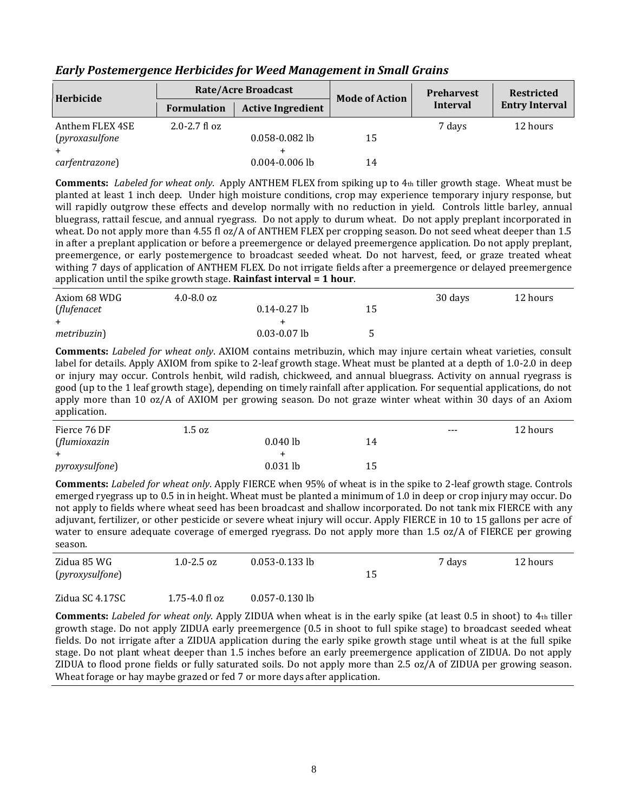| Herbicide             |                    | <b>Rate/Acre Broadcast</b> | <b>Mode of Action</b> | <b>Preharvest</b> | <b>Restricted</b>     |
|-----------------------|--------------------|----------------------------|-----------------------|-------------------|-----------------------|
|                       | <b>Formulation</b> | <b>Active Ingredient</b>   |                       | <b>Interval</b>   | <b>Entry Interval</b> |
| Anthem FLEX 4SE       | $2.0 - 2.7$ fl oz  |                            |                       | 7 days            | 12 hours              |
| <i>(pyroxasulfone</i> |                    | $0.058 - 0.082$ lb         | 15                    |                   |                       |
|                       |                    |                            |                       |                   |                       |
| carfentrazone)        |                    | $0.004 - 0.006$ lb         | 14                    |                   |                       |

*Early Postemergence Herbicides for Weed Management in Small Grains*

**Comments:** *Labeled for wheat only*. Apply ANTHEM FLEX from spiking up to 4th tiller growth stage. Wheat must be planted at least 1 inch deep. Under high moisture conditions, crop may experience temporary injury response, but will rapidly outgrow these effects and develop normally with no reduction in yield. Controls little barley, annual bluegrass, rattail fescue, and annual ryegrass. Do not apply to durum wheat. Do not apply preplant incorporated in wheat. Do not apply more than 4.55 fl oz/A of ANTHEM FLEX per cropping season. Do not seed wheat deeper than 1.5 in after a preplant application or before a preemergence or delayed preemergence application. Do not apply preplant, preemergence, or early postemergence to broadcast seeded wheat. Do not harvest, feed, or graze treated wheat withing 7 days of application of ANTHEM FLEX. Do not irrigate fields after a preemergence or delayed preemergence application until the spike growth stage. **Rainfast interval = 1 hour**.

| Axiom 68 WDG        | $4.0 - 8.0$ oz |                  |    | 30 days | 12 hours |
|---------------------|----------------|------------------|----|---------|----------|
| (flufenacet         |                | $0.14 - 0.27$ lb | 15 |         |          |
|                     |                |                  |    |         |          |
| <i>metribuzin</i> ) |                | $0.03 - 0.07$ lb | ς. |         |          |

**Comments:** *Labeled for wheat only*. AXIOM contains metribuzin, which may injure certain wheat varieties, consult label for details. Apply AXIOM from spike to 2-leaf growth stage. Wheat must be planted at a depth of 1.0-2.0 in deep or injury may occur. Controls henbit, wild radish, chickweed, and annual bluegrass. Activity on annual ryegrass is good (up to the 1 leaf growth stage), depending on timely rainfall after application. For sequential applications, do not apply more than 10 oz/A of AXIOM per growing season. Do not graze winter wheat within 30 days of an Axiom application.

| Fierce 76 DF           | 1.5 oz |            |    | $---$ | 12 hours |
|------------------------|--------|------------|----|-------|----------|
| (flumioxazin           |        | $0.040$ lb | 14 |       |          |
| $+$                    |        |            |    |       |          |
| <i>pyroxysulfone</i> ) |        | $0.031$ lb | 15 |       |          |

**Comments:** *Labeled for wheat only*. Apply FIERCE when 95% of wheat is in the spike to 2-leaf growth stage. Controls emerged ryegrass up to 0.5 in in height. Wheat must be planted a minimum of 1.0 in deep or crop injury may occur. Do not apply to fields where wheat seed has been broadcast and shallow incorporated. Do not tank mix FIERCE with any adjuvant, fertilizer, or other pesticide or severe wheat injury will occur. Apply FIERCE in 10 to 15 gallons per acre of water to ensure adequate coverage of emerged ryegrass. Do not apply more than 1.5 oz/A of FIERCE per growing season.

| Zidua 85 WG<br>( <i>pyroxysulfone</i> ) | 1.0-2.5 oz         | $0.053 - 0.133$ lb | 15 | 7 days | 12 hours |
|-----------------------------------------|--------------------|--------------------|----|--------|----------|
| Zidua SC 4.17SC                         | $1.75 - 4.0$ fl oz | $0.057 - 0.130$ lb |    |        |          |

**Comments:** *Labeled for wheat only*. Apply ZIDUA when wheat is in the early spike (at least 0.5 in shoot) to 4th tiller growth stage. Do not apply ZIDUA early preemergence (0.5 in shoot to full spike stage) to broadcast seeded wheat fields. Do not irrigate after a ZIDUA application during the early spike growth stage until wheat is at the full spike stage. Do not plant wheat deeper than 1.5 inches before an early preemergence application of ZIDUA. Do not apply ZIDUA to flood prone fields or fully saturated soils. Do not apply more than 2.5 oz/A of ZIDUA per growing season. Wheat forage or hay maybe grazed or fed 7 or more days after application.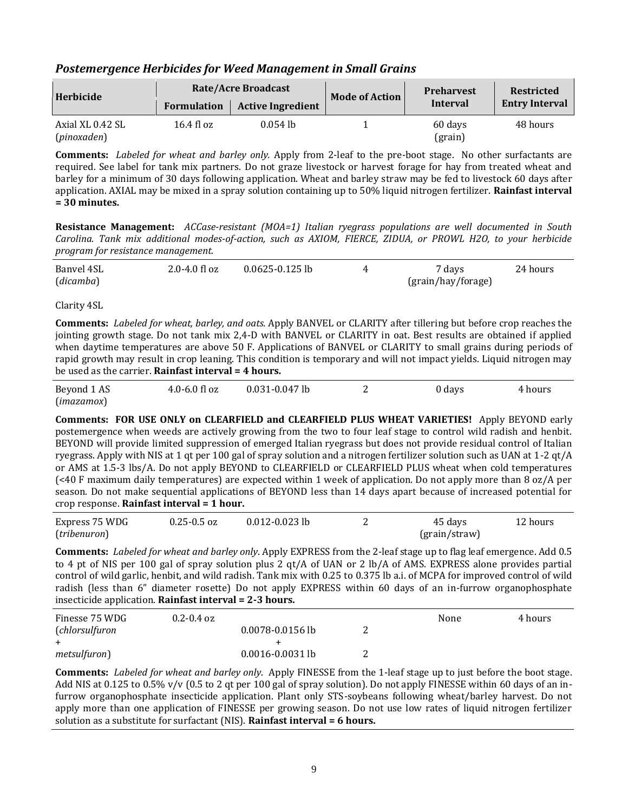#### *Postemergence Herbicides for Weed Management in Small Grains*

| Herbicide                       |                      | <b>Rate/Acre Broadcast</b> |                       | <b>Preharvest</b>  | <b>Restricted</b>     |
|---------------------------------|----------------------|----------------------------|-----------------------|--------------------|-----------------------|
|                                 | <b>Formulation</b>   | <b>Active Ingredient</b>   | <b>Mode of Action</b> | Interval           | <b>Entry Interval</b> |
| Axial XL 0.42 SL<br>(pinoxaden) | $16.4 \text{ fl oz}$ | $0.054$ lb                 |                       | 60 days<br>(grain) | 48 hours              |

**Comments:** *Labeled for wheat and barley only.* Apply from 2-leaf to the pre-boot stage. No other surfactants are required. See label for tank mix partners. Do not graze livestock or harvest forage for hay from treated wheat and barley for a minimum of 30 days following application. Wheat and barley straw may be fed to livestock 60 days after application. AXIAL may be mixed in a spray solution containing up to 50% liquid nitrogen fertilizer. **Rainfast interval = 30 minutes.**

**Resistance Management:** *ACCase-resistant (MOA=1) Italian ryegrass populations are well documented in South Carolina. Tank mix additional modes-of-action, such as AXIOM, FIERCE, ZIDUA, or PROWL H2O, to your herbicide program for resistance management.*

| Banvel 4SL | $2.0 - 4.0$ fl oz | $0.0625 - 0.125$ lb | 7 days             | 24 hours |
|------------|-------------------|---------------------|--------------------|----------|
| (dicamba)  |                   |                     | (grain/hay/forage) |          |

Clarity 4SL

**Comments:** *Labeled for wheat, barley, and oats.* Apply BANVEL or CLARITY after tillering but before crop reaches the jointing growth stage. Do not tank mix 2,4-D with BANVEL or CLARITY in oat. Best results are obtained if applied when daytime temperatures are above 50 F. Applications of BANVEL or CLARITY to small grains during periods of rapid growth may result in crop leaning. This condition is temporary and will not impact yields. Liquid nitrogen may be used as the carrier. **Rainfast interval = 4 hours.**

| Beyond 1 AS | $4.0 - 6.0$ fl oz | $0.031 - 0.047$ lb | 0 days | 4 hours |
|-------------|-------------------|--------------------|--------|---------|
| (imazamox)  |                   |                    |        |         |

**Comments: FOR USE ONLY on CLEARFIELD and CLEARFIELD PLUS WHEAT VARIETIES!** Apply BEYOND early postemergence when weeds are actively growing from the two to four leaf stage to control wild radish and henbit. BEYOND will provide limited suppression of emerged Italian ryegrass but does not provide residual control of Italian ryegrass. Apply with NIS at 1 qt per 100 gal of spray solution and a nitrogen fertilizer solution such as UAN at 1-2 qt/A or AMS at 1.5-3 lbs/A. Do not apply BEYOND to CLEARFIELD or CLEARFIELD PLUS wheat when cold temperatures (<40 F maximum daily temperatures) are expected within 1 week of application. Do not apply more than 8 oz/A per season. Do not make sequential applications of BEYOND less than 14 days apart because of increased potential for crop response. **Rainfast interval = 1 hour.**

| Express 75 WDG | $0.25 - 0.5$ oz | $0.012 - 0.023$ lb | 45 days       | 12 hours |
|----------------|-----------------|--------------------|---------------|----------|
| (tribenuron)   |                 |                    | (grain/straw) |          |

**Comments:** *Labeled for wheat and barley only*. Apply EXPRESS from the 2-leaf stage up to flag leaf emergence. Add 0.5 to 4 pt of NIS per 100 gal of spray solution plus 2 qt/A of UAN or 2 lb/A of AMS. EXPRESS alone provides partial control of wild garlic, henbit, and wild radish. Tank mix with 0.25 to 0.375 lb a.i. of MCPA for improved control of wild radish (less than 6" diameter rosette) Do not apply EXPRESS within 60 days of an in-furrow organophosphate insecticide application. **Rainfast interval = 2-3 hours.**

| Finesse 75 WDG | $0.2 - 0.4$ oz       | None | 4 hours |
|----------------|----------------------|------|---------|
| (chlorsulfuron | $0.0078 - 0.0156$ lb |      |         |
|                |                      |      |         |
| metsulfuron)   | $0.0016 - 0.0031$ lb |      |         |

**Comments:** *Labeled for wheat and barley only*. Apply FINESSE from the 1-leaf stage up to just before the boot stage. Add NIS at 0.125 to 0.5% v/v  $(0.5 \text{ to } 2 \text{ at per } 100 \text{ gal of spray solution})$ . Do not apply FINESSE within 60 days of an infurrow organophosphate insecticide application. Plant only STS-soybeans following wheat/barley harvest. Do not apply more than one application of FINESSE per growing season. Do not use low rates of liquid nitrogen fertilizer solution as a substitute for surfactant (NIS). **Rainfast interval = 6 hours.**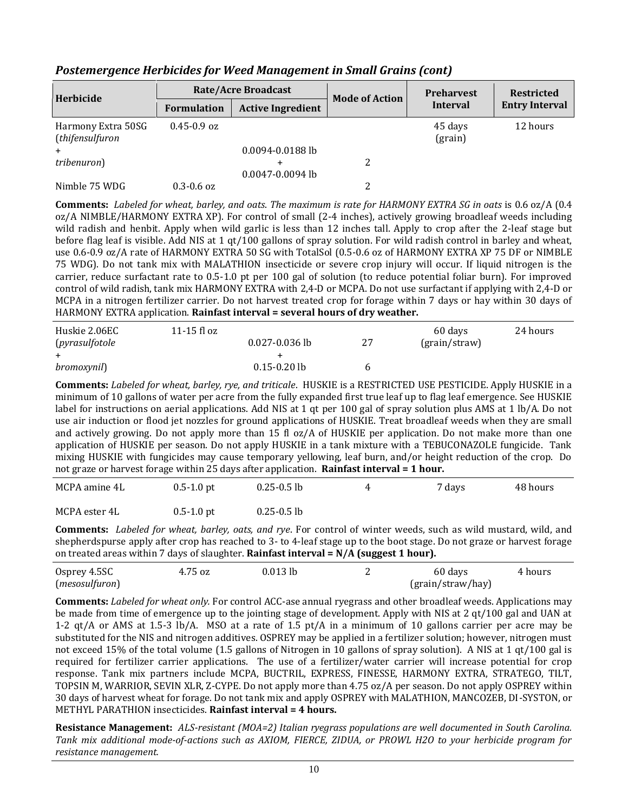| Herbicide                             | <b>Rate/Acre Broadcast</b> |                                | <b>Mode of Action</b> | <b>Preharvest</b>     | <b>Restricted</b> |
|---------------------------------------|----------------------------|--------------------------------|-----------------------|-----------------------|-------------------|
|                                       | <b>Formulation</b>         | <b>Active Ingredient</b>       | <b>Interval</b>       | <b>Entry Interval</b> |                   |
| Harmony Extra 50SG<br>(thifensulfuron | $0.45 - 0.9$ oz            | $0.0094 - 0.0188$ lb           |                       | 45 days<br>(grain)    | 12 hours          |
| tribenuron)                           |                            | $\div$<br>$0.0047 - 0.0094$ lb |                       |                       |                   |
| Nimble 75 WDG                         | $0.3 - 0.6$ oz             |                                |                       |                       |                   |

#### *Postemergence Herbicides for Weed Management in Small Grains (cont)*

**Comments:** *Labeled for wheat, barley, and oats*. *The maximum is rate for HARMONY EXTRA SG in oats* is 0.6 oz/A (0.4 oz/A NIMBLE/HARMONY EXTRA XP). For control of small (2-4 inches), actively growing broadleaf weeds including wild radish and henbit. Apply when wild garlic is less than 12 inches tall. Apply to crop after the 2-leaf stage but before flag leaf is visible. Add NIS at 1 qt/100 gallons of spray solution. For wild radish control in barley and wheat, use 0.6-0.9 oz/A rate of HARMONY EXTRA 50 SG with TotalSol (0.5-0.6 oz of HARMONY EXTRA XP 75 DF or NIMBLE 75 WDG). Do not tank mix with MALATHION insecticide or severe crop injury will occur. If liquid nitrogen is the carrier, reduce surfactant rate to 0.5-1.0 pt per 100 gal of solution (to reduce potential foliar burn). For improved control of wild radish, tank mix HARMONY EXTRA with 2,4-D or MCPA. Do not use surfactant if applying with 2,4-D or MCPA in a nitrogen fertilizer carrier. Do not harvest treated crop for forage within 7 days or hay within 30 days of HARMONY EXTRA application. **Rainfast interval = several hours of dry weather.**

| Huskie 2.06EC<br>(pyrasulfotole | 11-15 fl $oz$ | $0.027 - 0.036$ lb | 27 | 60 days<br>$\frac{1}{2}$ (grain/straw) | 24 hours |
|---------------------------------|---------------|--------------------|----|----------------------------------------|----------|
|                                 |               |                    |    |                                        |          |
| <i>bromoxynil</i> )             |               | $0.15 - 0.20$ lb   |    |                                        |          |

**Comments:** *Labeled for wheat, barley, rye, and triticale*. HUSKIE is a RESTRICTED USE PESTICIDE. Apply HUSKIE in a minimum of 10 gallons of water per acre from the fully expanded first true leaf up to flag leaf emergence. See HUSKIE label for instructions on aerial applications. Add NIS at 1 qt per 100 gal of spray solution plus AMS at 1 lb/A. Do not use air induction or flood jet nozzles for ground applications of HUSKIE. Treat broadleaf weeds when they are small and actively growing. Do not apply more than 15 fl oz/A of HUSKIE per application. Do not make more than one application of HUSKIE per season. Do not apply HUSKIE in a tank mixture with a TEBUCONAZOLE fungicide. Tank mixing HUSKIE with fungicides may cause temporary yellowing, leaf burn, and/or height reduction of the crop. Do not graze or harvest forage within 25 days after application. **Rainfast interval = 1 hour.**

| MCPA amine 4L | $0.5 - 1.0$ pt | $0.25 - 0.5$ lb | 7 days | 48 hours |
|---------------|----------------|-----------------|--------|----------|
| MCPA ester 4L | $0.5 - 1.0$ pt | $0.25 - 0.5$ lb |        |          |

**Comments:** *Labeled for wheat, barley, oats, and rye*. For control of winter weeds, such as wild mustard, wild, and shepherdspurse apply after crop has reached to 3- to 4-leaf stage up to the boot stage. Do not graze or harvest forage on treated areas within 7 days of slaughter. **Rainfast interval = N/A (suggest 1 hour).**

| Osprey 4.5SC   | 4.75 oz | $0.013$ lb | 60 days           | 4 hours |
|----------------|---------|------------|-------------------|---------|
| (mesosulfuron) |         |            | (grain/straw/hay) |         |

**Comments:** *Labeled for wheat only.* For control ACC-ase annual ryegrass and other broadleaf weeds. Applications may be made from time of emergence up to the jointing stage of development. Apply with NIS at 2 qt/100 gal and UAN at 1-2 qt/A or AMS at 1.5-3 lb/A. MSO at a rate of 1.5 pt/A in a minimum of 10 gallons carrier per acre may be substituted for the NIS and nitrogen additives. OSPREY may be applied in a fertilizer solution; however, nitrogen must not exceed 15% of the total volume (1.5 gallons of Nitrogen in 10 gallons of spray solution). A NIS at 1 qt/100 gal is required for fertilizer carrier applications. The use of a fertilizer/water carrier will increase potential for crop response. Tank mix partners include MCPA, BUCTRIL, EXPRESS, FINESSE, HARMONY EXTRA, STRATEGO, TILT, TOPSIN M, WARRIOR, SEVIN XLR, Z-CYPE. Do not apply more than 4.75 oz/A per season. Do not apply OSPREY within 30 days of harvest wheat for forage. Do not tank mix and apply OSPREY with MALATHION, MANCOZEB, DI-SYSTON, or METHYL PARATHION insecticides. **Rainfast interval = 4 hours.**

**Resistance Management:** *ALS-resistant (MOA=2) Italian ryegrass populations are well documented in South Carolina. Tank mix additional mode-of-actions such as AXIOM, FIERCE, ZIDUA, or PROWL H2O to your herbicide program for resistance management.*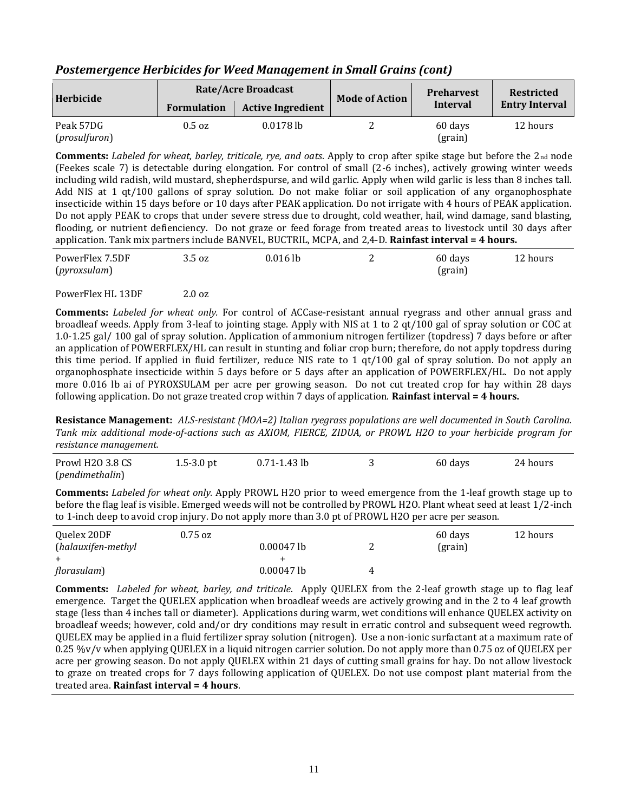| Herbicide                           |                    | <b>Rate/Acre Broadcast</b> | <b>Mode of Action</b> | <b>Preharvest</b>  | <b>Restricted</b>     |
|-------------------------------------|--------------------|----------------------------|-----------------------|--------------------|-----------------------|
|                                     | <b>Formulation</b> | <b>Active Ingredient</b>   |                       | Interval           | <b>Entry Interval</b> |
| Peak 57DG<br>( <i>prosulfuron</i> ) | $0.5 \text{ oz}$   | $0.0178$ lb                |                       | 60 days<br>(grain) | 12 hours              |

#### *Postemergence Herbicides for Weed Management in Small Grains (cont)*

**Comments:** *Labeled for wheat, barley, triticale, rye, and oats*. Apply to crop after spike stage but before the 2nd node (Feekes scale 7) is detectable during elongation. For control of small (2-6 inches), actively growing winter weeds including wild radish, wild mustard, shepherdspurse, and wild garlic. Apply when wild garlic is less than 8 inches tall. Add NIS at 1 qt/100 gallons of spray solution. Do not make foliar or soil application of any organophosphate insecticide within 15 days before or 10 days after PEAK application. Do not irrigate with 4 hours of PEAK application. Do not apply PEAK to crops that under severe stress due to drought, cold weather, hail, wind damage, sand blasting, flooding, or nutrient defienciency. Do not graze or feed forage from treated areas to livestock until 30 days after application. Tank mix partners include BANVEL, BUCTRIL, MCPA, and 2,4-D. **Rainfast interval = 4 hours.**

| PowerFlex 7.5DF | 3.5 oz | $0.016$ lb | 60 days | 12 hours |
|-----------------|--------|------------|---------|----------|
| (pyroxsulam)    |        |            | (grain) |          |

#### PowerFlex HL 13DF 2.0 oz

**Comments:** *Labeled for wheat only.* For control of ACCase-resistant annual ryegrass and other annual grass and broadleaf weeds. Apply from 3-leaf to jointing stage. Apply with NIS at 1 to 2 qt/100 gal of spray solution or COC at 1.0-1.25 gal/ 100 gal of spray solution. Application of ammonium nitrogen fertilizer (topdress) 7 days before or after an application of POWERFLEX/HL can result in stunting and foliar crop burn; therefore, do not apply topdress during this time period. If applied in fluid fertilizer, reduce NIS rate to 1 qt/100 gal of spray solution. Do not apply an organophosphate insecticide within 5 days before or 5 days after an application of POWERFLEX/HL. Do not apply more 0.016 lb ai of PYROXSULAM per acre per growing season. Do not cut treated crop for hay within 28 days following application. Do not graze treated crop within 7 days of application. **Rainfast interval = 4 hours.**

**Resistance Management:** *ALS-resistant (MOA=2) Italian ryegrass populations are well documented in South Carolina. Tank mix additional mode-of-actions such as AXIOM, FIERCE, ZIDUA, or PROWL H2O to your herbicide program for resistance management.*

| Prowl H <sub>20</sub> 3.8 CS | $1.5 - 3.0$ pt | $0.71 - 1.43$ lb | 60 days | 24 hours |
|------------------------------|----------------|------------------|---------|----------|
| (pendimethalin)              |                |                  |         |          |

**Comments:** *Labeled for wheat only.* Apply PROWL H2O prior to weed emergence from the 1-leaf growth stage up to before the flag leaf is visible. Emerged weeds will not be controlled by PROWL H2O. Plant wheat seed at least 1/2-inch to 1-inch deep to avoid crop injury. Do not apply more than 3.0 pt of PROWL H2O per acre per season.

| Quelex 20DF        | $0.75$ oz |              |   | 60 days | 12 hours |
|--------------------|-----------|--------------|---|---------|----------|
| (halauxifen-methyl |           | $0.00047$ lb |   | (grain) |          |
|                    |           |              |   |         |          |
| florasulam)        |           | $0.00047$ lb | 4 |         |          |

**Comments:** *Labeled for wheat, barley, and triticale*. Apply QUELEX from the 2-leaf growth stage up to flag leaf emergence. Target the QUELEX application when broadleaf weeds are actively growing and in the 2 to 4 leaf growth stage (less than 4 inches tall or diameter). Applications during warm, wet conditions will enhance QUELEX activity on broadleaf weeds; however, cold and/or dry conditions may result in erratic control and subsequent weed regrowth. QUELEX may be applied in a fluid fertilizer spray solution (nitrogen). Use a non-ionic surfactant at a maximum rate of 0.25 %v/v when applying QUELEX in a liquid nitrogen carrier solution. Do not apply more than 0.75 oz of QUELEX per acre per growing season. Do not apply QUELEX within 21 days of cutting small grains for hay. Do not allow livestock to graze on treated crops for 7 days following application of QUELEX. Do not use compost plant material from the treated area. **Rainfast interval = 4 hours**.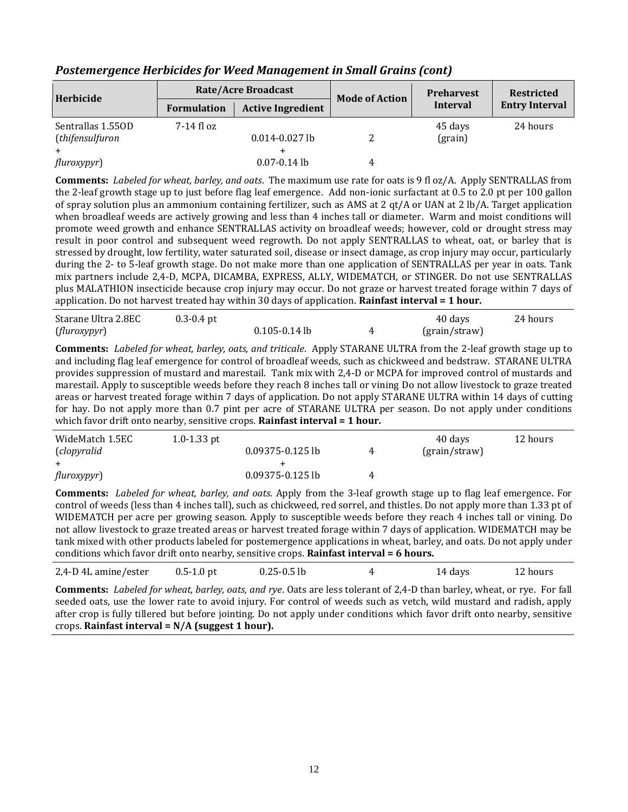| Herbicide         |                    | <b>Rate/Acre Broadcast</b> | <b>Mode of Action</b> | <b>Preharvest</b> | <b>Restricted</b><br><b>Entry Interval</b> |  |
|-------------------|--------------------|----------------------------|-----------------------|-------------------|--------------------------------------------|--|
|                   | <b>Formulation</b> | <b>Active Ingredient</b>   |                       | Interval          |                                            |  |
| Sentrallas 1.550D | 7-14 fl oz         |                            |                       | 45 days           | 24 hours                                   |  |
| (thifensulfuron   |                    | $0.014 - 0.027$ lb         |                       | (grain)           |                                            |  |
|                   |                    |                            |                       |                   |                                            |  |
| fluroxypyr)       |                    | $0.07 - 0.14$ lb           | 4                     |                   |                                            |  |

#### *Postemergence Herbicides for Weed Management in Small Grains (cont)*

**Comments:** *Labeled for wheat, barley, and oats*. The maximum use rate for oats is 9 fl oz/A. Apply SENTRALLAS from the 2-leaf growth stage up to just before flag leaf emergence. Add non-ionic surfactant at 0.5 to 2.0 pt per 100 gallon of spray solution plus an ammonium containing fertilizer, such as AMS at 2 qt/A or UAN at 2 lb/A. Target application when broadleaf weeds are actively growing and less than 4 inches tall or diameter. Warm and moist conditions will promote weed growth and enhance SENTRALLAS activity on broadleaf weeds; however, cold or drought stress may result in poor control and subsequent weed regrowth. Do not apply SENTRALLAS to wheat, oat, or barley that is stressed by drought, low fertility, water saturated soil, disease or insect damage, as crop injury may occur, particularly during the 2- to 5-leaf growth stage. Do not make more than one application of SENTRALLAS per year in oats. Tank mix partners include 2,4-D, MCPA, DICAMBA, EXPRESS, ALLY, WIDEMATCH, or STINGER. Do not use SENTRALLAS plus MALATHION insecticide because crop injury may occur. Do not graze or harvest treated forage within 7 days of application. Do not harvest treated hay within 30 days of application. **Rainfast interval = 1 hour.**

| Starane Ultra 2.8EC | $0.3 - 0.4$ pt |                   | 40 days       | 24 hours |
|---------------------|----------------|-------------------|---------------|----------|
| (fluroxypyr)        |                | $0.105 - 0.14$ lb | (grain/straw) |          |

**Comments:** *Labeled for wheat, barley, oats, and triticale*. Apply STARANE ULTRA from the 2-leaf growth stage up to and including flag leaf emergence for control of broadleaf weeds, such as chickweed and bedstraw. STARANE ULTRA provides suppression of mustard and marestail. Tank mix with 2,4-D or MCPA for improved control of mustards and marestail. Apply to susceptible weeds before they reach 8 inches tall or vining Do not allow livestock to graze treated areas or harvest treated forage within 7 days of application. Do not apply STARANE ULTRA within 14 days of cutting for hay. Do not apply more than 0.7 pint per acre of STARANE ULTRA per season. Do not apply under conditions which favor drift onto nearby, sensitive crops. **Rainfast interval = 1 hour.**

| WideMatch 1.5EC | 1.0-1.33 pt          |   | 40 days       | 12 hours |
|-----------------|----------------------|---|---------------|----------|
| (clopyralid     | $0.09375 - 0.125$ lb | 4 | (grain/straw) |          |
|                 |                      |   |               |          |
| fluroxypyr)     | 0.09375-0.125 lb     | 4 |               |          |

**Comments:** *Labeled for wheat, barley, and oats*. Apply from the 3-leaf growth stage up to flag leaf emergence. For control of weeds (less than 4 inches tall), such as chickweed, red sorrel, and thistles. Do not apply more than 1.33 pt of WIDEMATCH per acre per growing season. Apply to susceptible weeds before they reach 4 inches tall or vining. Do not allow livestock to graze treated areas or harvest treated forage within 7 days of application. WIDEMATCH may be tank mixed with other products labeled for postemergence applications in wheat, barley, and oats. Do not apply under conditions which favor drift onto nearby, sensitive crops. **Rainfast interval = 6 hours.**

| 2,4-D 4L amine/ester | $0.5 - 1.0$ pt | $0.25 - 0.5$ lb | 14 days | 12 hours |
|----------------------|----------------|-----------------|---------|----------|
|                      |                |                 |         |          |

**Comments:** *Labeled for wheat, barley, oats, and rye*. Oats are less tolerant of 2,4-D than barley, wheat, or rye. For fall seeded oats, use the lower rate to avoid injury. For control of weeds such as vetch, wild mustard and radish, apply after crop is fully tillered but before jointing. Do not apply under conditions which favor drift onto nearby, sensitive crops. **Rainfast interval = N/A (suggest 1 hour).**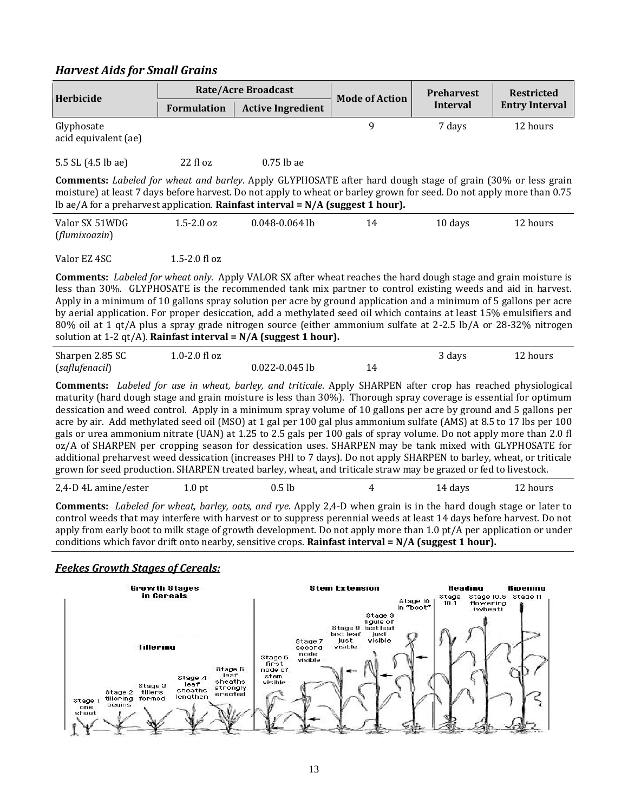#### *Harvest Aids for Small Grains*

| Herbicide                          |                    | <b>Rate/Acre Broadcast</b> | <b>Mode of Action</b> | <b>Preharvest</b> | <b>Restricted</b>     |  |
|------------------------------------|--------------------|----------------------------|-----------------------|-------------------|-----------------------|--|
|                                    | <b>Formulation</b> | <b>Active Ingredient</b>   |                       | Interval          | <b>Entry Interval</b> |  |
| Glyphosate<br>acid equivalent (ae) |                    |                            | q                     | 7 davs            | 12 hours              |  |
| 5.5 SL (4.5 lb ae)                 | $22$ fl oz         | $0.75$ lb ae               |                       |                   |                       |  |

**Comments:** *Labeled for wheat and barley*. Apply GLYPHOSATE after hard dough stage of grain (30% or less grain moisture) at least 7 days before harvest. Do not apply to wheat or barley grown for seed. Do not apply more than 0.75 lb ae/A for a preharvest application. **Rainfast interval = N/A (suggest 1 hour).**

| Valor SX 51WDG | $1.5 - 2.0$ oz | $0.048 - 0.064$ lb | 14 | 10 days | 12 hours |
|----------------|----------------|--------------------|----|---------|----------|
| (flumixoazin)  |                |                    |    |         |          |

Valor EZ 4SC 1.5-2.0 fl oz

**Comments:** *Labeled for wheat only*. Apply VALOR SX after wheat reaches the hard dough stage and grain moisture is less than 30%. GLYPHOSATE is the recommended tank mix partner to control existing weeds and aid in harvest. Apply in a minimum of 10 gallons spray solution per acre by ground application and a minimum of 5 gallons per acre by aerial application. For proper desiccation, add a methylated seed oil which contains at least 15% emulsifiers and 80% oil at 1 qt/A plus a spray grade nitrogen source (either ammonium sulfate at 2-2.5 lb/A or 28-32% nitrogen solution at 1-2 qt/A). **Rainfast interval = N/A (suggest 1 hour).**

| Sharpen 2.85 SC | $1.0 - 2.0$ fl oz |                    | 3 days | 12 hours |
|-----------------|-------------------|--------------------|--------|----------|
| (saflufenacil)  |                   | $0.022 - 0.045$ lb |        |          |

**Comments:** *Labeled for use in wheat, barley, and triticale*. Apply SHARPEN after crop has reached physiological maturity (hard dough stage and grain moisture is less than 30%). Thorough spray coverage is essential for optimum dessication and weed control. Apply in a minimum spray volume of 10 gallons per acre by ground and 5 gallons per acre by air. Add methylated seed oil (MSO) at 1 gal per 100 gal plus ammonium sulfate (AMS) at 8.5 to 17 lbs per 100 gals or urea ammonium nitrate (UAN) at 1.25 to 2.5 gals per 100 gals of spray volume. Do not apply more than 2.0 fl oz/A of SHARPEN per cropping season for dessication uses. SHARPEN may be tank mixed with GLYPHOSATE for additional preharvest weed dessication (increases PHI to 7 days). Do not apply SHARPEN to barley, wheat, or triticale grown for seed production. SHARPEN treated barley, wheat, and triticale straw may be grazed or fed to livestock.

| 2,4-D 4L amine/ester | 1.0 <sub>pt</sub> | 0.5 lb | 14 days | 12 hours |
|----------------------|-------------------|--------|---------|----------|

**Comments:** *Labeled for wheat, barley, oats, and rye*. Apply 2,4-D when grain is in the hard dough stage or later to control weeds that may interfere with harvest or to suppress perennial weeds at least 14 days before harvest. Do not apply from early boot to milk stage of growth development. Do not apply more than 1.0 pt/A per application or under conditions which favor drift onto nearby, sensitive crops. **Rainfast interval = N/A (suggest 1 hour).**

#### *Feekes Growth Stages of Cereals:*

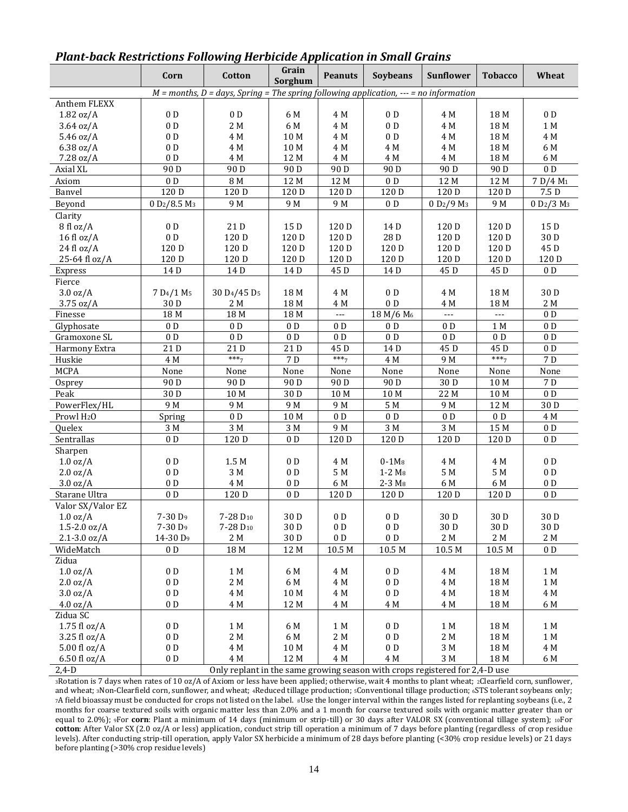|                        | Corn                                                                                                 | Cotton                                                                      | Grain<br>Sorghum | <b>Peanuts</b>  | <b>Soybeans</b>       | Sunflower                          | <b>Tobacco</b>     | Wheat                              |  |
|------------------------|------------------------------------------------------------------------------------------------------|-----------------------------------------------------------------------------|------------------|-----------------|-----------------------|------------------------------------|--------------------|------------------------------------|--|
|                        | $M$ = months, D = days, Spring = The spring $\overline{following}$ application, --- = no information |                                                                             |                  |                 |                       |                                    |                    |                                    |  |
| Anthem FLEXX           |                                                                                                      |                                                                             |                  |                 |                       |                                    |                    |                                    |  |
| 1.82 oz/A              | $0\,\mathrm{\,D}$                                                                                    | 0 <sub>D</sub>                                                              | 6 M              | 4 M             | 0 <sub>D</sub>        | 4 M                                | 18 M               | 0 <sub>D</sub>                     |  |
| 3.64 oz/A              | 0 <sub>D</sub>                                                                                       | 2 M                                                                         | 6 M              | 4 M             | 0 <sub>D</sub>        | 4 M                                | 18 M               | 1 M                                |  |
| 5.46 oz/A              | 0 <sub>D</sub>                                                                                       | 4 M                                                                         | 10 M             | 4 M             | 0 <sub>D</sub>        | 4 M                                | 18 M               | 4 M                                |  |
| 6.38 oz/A              | 0 <sub>D</sub>                                                                                       | 4 M                                                                         | 10 M             | 4 M             | 4 M                   | 4 M                                | 18 M               | 6 M                                |  |
| 7.28 oz/A              | 0 <sub>D</sub>                                                                                       | 4 M                                                                         | 12 M             | 4 M             | 4 M                   | 4 M                                | 18 M               | 6 M                                |  |
| Axial XL               | 90 <sub>D</sub>                                                                                      | 90 <sub>D</sub>                                                             | 90 <sub>D</sub>  | 90 <sub>D</sub> | 90 <sub>D</sub>       | 90 <sub>D</sub>                    | 90 <sub>D</sub>    | $0\,\mathrm{\,D}$                  |  |
| Axiom                  | 0 <sub>D</sub>                                                                                       | 8 M                                                                         | 12 M             | 12 M            | 0 <sub>D</sub>        | 12 M                               | 12 M               | 7 D/4 M <sub>1</sub>               |  |
| Banvel                 | 120 D                                                                                                | 120 D                                                                       | 120 D            | 120 D           | 120 D                 | 120 D                              | 120 D              | 7.5 D                              |  |
| Beyond                 | 0 D <sub>2</sub> /8.5 M <sub>3</sub>                                                                 | 9 M                                                                         | 9 M              | 9 M             | 0 <sub>D</sub>        | 0 D <sub>2</sub> /9 M <sub>3</sub> | 9 M                | 0 D <sub>2</sub> /3 M <sub>3</sub> |  |
| Clarity                |                                                                                                      |                                                                             |                  |                 |                       |                                    |                    |                                    |  |
| 8 fl oz/A              | 0 <sub>D</sub>                                                                                       | 21 D                                                                        | 15 D             | 120 D           | 14D                   | 120 D                              | 120 D              | 15 D                               |  |
| $16f$ l oz/A           | 0 <sub>D</sub>                                                                                       | 120 D                                                                       | 120 D            | 120 D           | 28 D                  | 120 D                              | 120 D              | 30 D                               |  |
| 24 fl oz/A             | 120 D                                                                                                | 120 D                                                                       | 120 D            | 120 D           | 120 D                 | 120 D                              | 120 D              | 45 D                               |  |
| 25-64 fl oz/A          | 120 D                                                                                                | 120 D                                                                       | 120 D            | 120 D           | 120 D                 | 120 D                              | 120 D              | 120 D                              |  |
| Express                | 14 D                                                                                                 | 14D                                                                         | 14D              | 45 D            | 14D                   | 45 D                               | 45 D               | $0\,\mathrm{\,D}$                  |  |
| Fierce                 |                                                                                                      |                                                                             |                  |                 |                       |                                    |                    |                                    |  |
| 3.0 oz/A               | 7 D <sub>4</sub> /1 M <sub>5</sub>                                                                   | 30 D <sub>4</sub> /45 D <sub>5</sub>                                        | 18 M             | 4 M             | 0 <sub>D</sub>        | 4 M                                | 18 M               | 30 D                               |  |
| 3.75 oz/A              | 30 D                                                                                                 | 2 M                                                                         | 18 M             | 4 M             | 0 <sub>D</sub>        | 4 M                                | 18 M               | 2 M                                |  |
| Finesse                | 18 M                                                                                                 | 18 M                                                                        | 18 M             | $\overline{a}$  | 18 M/6 M <sub>6</sub> | $\overline{a}$                     | $\overline{a}$     | 0 <sub>D</sub>                     |  |
| Glyphosate             | 0 <sub>D</sub>                                                                                       | 0 <sub>D</sub>                                                              | 0 <sub>D</sub>   | 0 <sub>D</sub>  | 0 <sub>D</sub>        | 0 <sub>D</sub>                     | 1 M                | $0\,\mathrm{\,D}$                  |  |
| Gramoxone SL           | 0 <sub>D</sub>                                                                                       | 0 <sub>D</sub>                                                              | 0 <sub>D</sub>   | 0 <sub>D</sub>  | 0 <sub>D</sub>        | 0 <sub>D</sub>                     | 0 <sub>D</sub>     | $0\,\mathrm{\,D}$                  |  |
| Harmony Extra          | 21 D                                                                                                 | 21 D                                                                        | 21D              | 45D             | 14D                   | 45 D                               | 45D                | 0 <sub>D</sub>                     |  |
|                        | 4 M                                                                                                  | $***7$                                                                      | 7 D              | $***7$          | 4 M                   | 9 M                                | $***7$             | 7 D                                |  |
| Huskie<br><b>MCPA</b>  |                                                                                                      |                                                                             |                  |                 | None                  |                                    |                    |                                    |  |
|                        | None                                                                                                 | None                                                                        | None             | None            |                       | None                               | None               | None                               |  |
| Osprey                 | 90 <sub>D</sub>                                                                                      | 90 <sub>D</sub>                                                             | 90 <sub>D</sub>  | 90 <sub>D</sub> | 90 <sub>D</sub>       | 30 D                               | 10 M               | $7\,\mathrm{D}$                    |  |
| Peak                   | 30 D                                                                                                 | 10 M                                                                        | 30 D             | 10 M            | 10 M                  | 22 M                               | 10 M               | 0 <sub>D</sub>                     |  |
| PowerFlex/HL           | 9 M                                                                                                  | 9 M                                                                         | 9 M              | 9 M             | 5 M                   | 9 M                                | 12 M               | 30 D                               |  |
| Prowl H <sub>2</sub> O | Spring                                                                                               | 0 <sub>D</sub>                                                              | 10 M             | 0 <sub>D</sub>  | 0 <sub>D</sub>        | 0 <sub>D</sub>                     | 0 <sub>D</sub>     | 4 M                                |  |
| Quelex                 | 3 M                                                                                                  | 3M                                                                          | 3 M              | 9 M             | 3 M                   | 3 M                                | 15M                | 0 <sub>D</sub>                     |  |
| Sentrallas             | 0 <sub>D</sub>                                                                                       | 120 D                                                                       | 0 <sub>D</sub>   | 120 D           | 120 D                 | 120 D                              | 120 D              | 0 <sub>D</sub>                     |  |
| Sharpen                |                                                                                                      |                                                                             |                  |                 |                       |                                    |                    |                                    |  |
| $1.0 \text{ oz/A}$     | 0 <sub>D</sub>                                                                                       | 1.5 M                                                                       | 0 <sub>D</sub>   | 4 M             | $0 - 1$ M $8$         | 4 M                                | 4 M                | 0 <sub>D</sub>                     |  |
| 2.0 oz/A               | 0 <sub>D</sub>                                                                                       | 3 M                                                                         | 0 <sub>D</sub>   | $5\ \mathrm{M}$ | $1-2$ M <sub>8</sub>  | 5 M                                | 5 M                | 0 <sub>D</sub>                     |  |
| 3.0 oz/A               | 0 <sub>D</sub>                                                                                       | 4 M                                                                         | 0 <sub>D</sub>   | 6 M             | 2-3 M <sub>8</sub>    | 6 M                                | 6 M                | 0 <sub>D</sub>                     |  |
| Starane Ultra          | 0 <sub>D</sub>                                                                                       | 120 D                                                                       | 0 <sub>D</sub>   | 120 D           | 120 D                 | 120 D                              | 120 D              | 0 <sub>D</sub>                     |  |
| Valor SX/Valor EZ      |                                                                                                      |                                                                             |                  |                 |                       |                                    |                    |                                    |  |
| $1.0 \text{ oz/A}$     | 7-30 D <sub>9</sub>                                                                                  | 7-28 D <sub>10</sub>                                                        | 30 D             | 0 <sub>D</sub>  | 0 <sub>D</sub>        | 30 D                               | 30 D               | 30 D                               |  |
| $1.5 - 2.0$ oz/A       | 7-30 D <sub>9</sub>                                                                                  | 7-28 D <sub>10</sub>                                                        | 30 D             | $0\,\mathrm{D}$ | $0\ {\rm D}$          | 30 D                               | 30 D               | 30 D                               |  |
| $2.1 - 3.0$ oz/A       | 14-30 D <sub>9</sub>                                                                                 | 2 M                                                                         | 30 D             | $0\,\mathrm{D}$ | $0\ {\rm D}$          | 2 M                                | 2 M                | 2 M                                |  |
| WideMatch              | 0 <sub>D</sub>                                                                                       | 18 M                                                                        | 12 M             | 10.5 M          | 10.5 M                | $10.5\ \text{M}$                   | $10.5\ \mathrm{M}$ | 0 <sub>D</sub>                     |  |
| Zidua                  |                                                                                                      |                                                                             |                  |                 |                       |                                    |                    |                                    |  |
| $1.0 \text{ oz/A}$     | 0 <sub>D</sub>                                                                                       | 1 M                                                                         | 6 M              | 4 M             | 0 <sub>D</sub>        | 4 M                                | 18 M               | 1 M                                |  |
| 2.0 oz/A               | $0\,\mathrm{\,D}$                                                                                    | 2 M                                                                         | 6 M              | 4 M             | 0 <sub>D</sub>        | 4 M                                | 18 M               | 1 M                                |  |
| 3.0 oz/A               | 0 <sub>D</sub>                                                                                       | 4 M                                                                         | 10 M             | 4 M             | 0 <sub>D</sub>        | 4 M                                | 18 M               | 4 M                                |  |
| $4.0 \text{ oz/A}$     | 0 <sub>D</sub>                                                                                       | 4 M                                                                         | 12 M             | $4\ \mathrm{M}$ | 4 M                   | 4 M                                | 18 M               | 6 M                                |  |
| Zidua SC               |                                                                                                      |                                                                             |                  |                 |                       |                                    |                    |                                    |  |
| $1.75$ fl oz/A         | $0\,\mathrm{\,D}$                                                                                    | 1 M                                                                         | 6 M              | 1 M             | 0 <sub>D</sub>        | 1 M                                | 18 M               | 1 M                                |  |
| 3.25 fl oz/A           | $0\,\mathrm{\,D}$                                                                                    | 2 M                                                                         | 6 M              | $2\ \mathrm{M}$ | $0\,\mathrm{\,D}$     | 2 M                                | 18 M               | 1 M                                |  |
| 5.00 fl oz/A           | 0 <sub>D</sub>                                                                                       | 4 M                                                                         | 10 M             | 4 M             | 0 <sub>D</sub>        | 3 M                                | 18 M               | 4 M                                |  |
| $6.50$ fl oz/A         | 0 <sub>D</sub>                                                                                       | 4 M                                                                         | 12 M             | $4\ \mathrm{M}$ | 4 M                   | 3 M                                | 18 M               | 6 M                                |  |
| $2,4-D$                |                                                                                                      | Only replant in the same growing season with crops registered for 2,4-D use |                  |                 |                       |                                    |                    |                                    |  |

#### *Plant-back Restrictions Following Herbicide Application in Small Grains*

<sup>3</sup>Rotation is 7 days when rates of 10 oz/A of Axiom or less have been applied; otherwise, wait 4 months to plant wheat; 2Clearfield corn, sunflower, and wheat; 3Non-Clearfield corn, sunflower, and wheat; 4Reduced tillage production; 5Conventional tillage production; 6STS tolerant soybeans only; <sup>7</sup>A field bioassay must be conducted for crops not listed on the label. 8Use the longer interval within the ranges listed for replanting soybeans (i.e., 2 months for coarse textured soils with organic matter less than 2.0% and a 1 month for coarse textured soils with organic matter greater than or equal to 2.0%); 9For corn: Plant a minimum of 14 days (minimum or strip-till) or 30 days after VALOR SX (conventional tillage system); 10For **cotton**: After Valor SX (2.0 oz/A or less) application, conduct strip till operation a minimum of 7 days before planting (regardless of crop residue levels). After conducting strip-till operation, apply Valor SX herbicide a minimum of 28 days before planting (<30% crop residue levels) or 21 days before planting (>30% crop residue levels)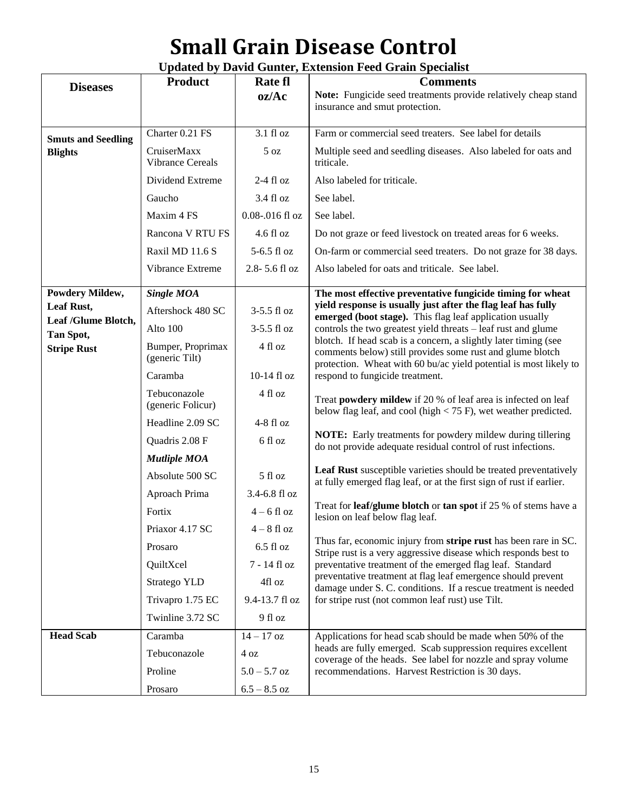# **Small Grain Disease Control**

| <b>Updated by David Gunter, Extension Feed Grain Specialist</b> |  |  |
|-----------------------------------------------------------------|--|--|
|-----------------------------------------------------------------|--|--|

| <b>Diseases</b>                 | <b>Product</b>                         | Rate fl              | <b>Comments</b>                                                                                                                          |
|---------------------------------|----------------------------------------|----------------------|------------------------------------------------------------------------------------------------------------------------------------------|
|                                 |                                        | oz/Ac                | Note: Fungicide seed treatments provide relatively cheap stand                                                                           |
|                                 |                                        |                      | insurance and smut protection.                                                                                                           |
| <b>Smuts and Seedling</b>       | Charter 0.21 FS                        | 3.1 fl oz            | Farm or commercial seed treaters. See label for details                                                                                  |
| <b>Blights</b>                  | CruiserMaxx<br><b>Vibrance Cereals</b> | 5 oz                 | Multiple seed and seedling diseases. Also labeled for oats and<br>triticale.                                                             |
|                                 | Dividend Extreme                       | $2-4$ fl oz          | Also labeled for triticale.                                                                                                              |
|                                 | Gaucho                                 | 3.4 fl oz            | See label.                                                                                                                               |
|                                 | Maxim 4 FS                             | $0.08 - 0.016$ fl oz | See label.                                                                                                                               |
|                                 | Rancona V RTU FS                       | $4.6 \text{ fl oz}$  | Do not graze or feed livestock on treated areas for 6 weeks.                                                                             |
|                                 | Raxil MD 11.6 S                        | 5-6.5 fl oz          | On-farm or commercial seed treaters. Do not graze for 38 days.                                                                           |
|                                 | Vibrance Extreme                       | 2.8-5.6 fl oz        | Also labeled for oats and triticale. See label.                                                                                          |
| <b>Powdery Mildew,</b>          | <b>Single MOA</b>                      |                      | The most effective preventative fungicide timing for wheat                                                                               |
| Leaf Rust,                      | Aftershock 480 SC                      | 3-5.5 fl oz          | yield response is usually just after the flag leaf has fully                                                                             |
| Leaf /Glume Blotch,             | Alto 100                               | 3-5.5 fl oz          | emerged (boot stage). This flag leaf application usually<br>controls the two greatest yield threats - leaf rust and glume                |
| Tan Spot,<br><b>Stripe Rust</b> | Bumper, Proprimax                      | 4 fl oz              | blotch. If head scab is a concern, a slightly later timing (see                                                                          |
|                                 | (generic Tilt)                         |                      | comments below) still provides some rust and glume blotch<br>protection. Wheat with 60 bu/ac yield potential is most likely to           |
|                                 | Caramba                                | 10-14 fl oz          | respond to fungicide treatment.                                                                                                          |
|                                 | Tebuconazole<br>(generic Folicur)      | 4 fl oz              | Treat powdery mildew if 20 % of leaf area is infected on leaf<br>below flag leaf, and cool (high $<$ 75 F), wet weather predicted.       |
|                                 | Headline 2.09 SC                       | $4-8$ fl oz          |                                                                                                                                          |
|                                 | Quadris 2.08 F                         | 6 fl oz              | <b>NOTE:</b> Early treatments for powdery mildew during tillering<br>do not provide adequate residual control of rust infections.        |
|                                 | <b>Mutliple MOA</b>                    |                      |                                                                                                                                          |
|                                 | Absolute 500 SC                        | 5 fl oz              | Leaf Rust susceptible varieties should be treated preventatively<br>at fully emerged flag leaf, or at the first sign of rust if earlier. |
|                                 | Aproach Prima                          | 3.4-6.8 fl oz        |                                                                                                                                          |
|                                 | Fortix                                 | $4-6$ fl oz          | Treat for <b>leaf/glume blotch</b> or <b>tan spot</b> if 25 % of stems have a<br>lesion on leaf below flag leaf.                         |
|                                 | Priaxor 4.17 SC                        | $4-8$ fl oz          |                                                                                                                                          |
|                                 | Prosaro                                | $6.5f$ l oz          | Thus far, economic injury from stripe rust has been rare in SC.<br>Stripe rust is a very aggressive disease which responds best to       |
|                                 | QuiltXcel                              | 7 - 14 fl oz         | preventative treatment of the emerged flag leaf. Standard                                                                                |
|                                 | Stratego YLD                           | 4fl oz               | preventative treatment at flag leaf emergence should prevent<br>damage under S. C. conditions. If a rescue treatment is needed           |
|                                 | Trivapro 1.75 EC                       | 9.4-13.7 fl oz       | for stripe rust (not common leaf rust) use Tilt.                                                                                         |
|                                 | Twinline 3.72 SC                       | 9 fl oz              |                                                                                                                                          |
| <b>Head Scab</b>                | Caramba                                | $14 - 17$ oz         | Applications for head scab should be made when 50% of the                                                                                |
|                                 | Tebuconazole                           | $4\,\mathrm{oz}$     | heads are fully emerged. Scab suppression requires excellent<br>coverage of the heads. See label for nozzle and spray volume             |
|                                 | Proline                                | $5.0 - 5.7$ oz       | recommendations. Harvest Restriction is 30 days.                                                                                         |
|                                 | Prosaro                                | $6.5 - 8.5$ oz       |                                                                                                                                          |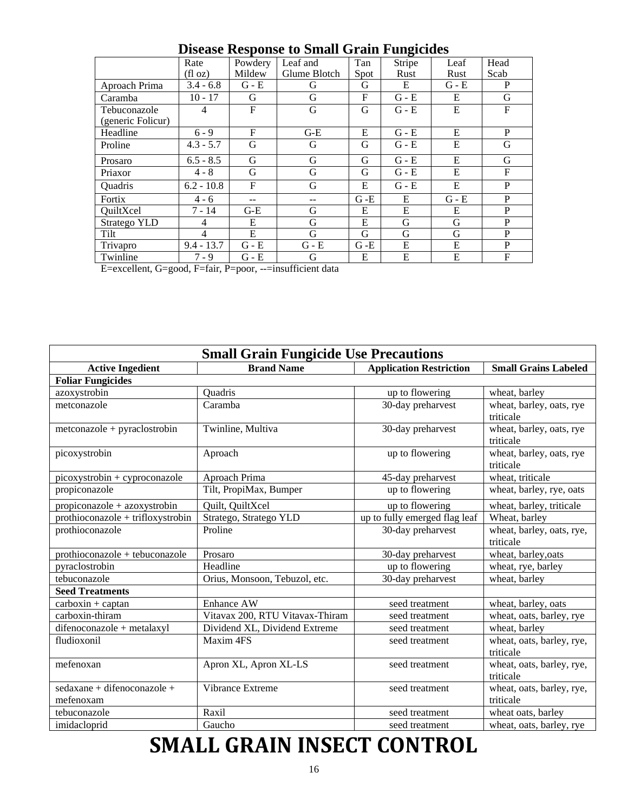| Disease response to Sman Gram I angleiucs |                |              |              |         |         |         |      |
|-------------------------------------------|----------------|--------------|--------------|---------|---------|---------|------|
|                                           | Rate           | Powdery      | Leaf and     | Tan     | Stripe  | Leaf    | Head |
|                                           | (floz)         | Mildew       | Glume Blotch | Spot    | Rust    | Rust    | Scab |
| Aproach Prima                             | $3.4 - 6.8$    | $G - E$      | G            | G       | E       | $G - E$ | P    |
| Caramba                                   | $10 - 17$      | G            | G            | F       | $G - E$ | E       | G    |
| Tebuconazole                              | $\overline{4}$ | $\mathbf{F}$ | G            | G       | $G - E$ | E       | F    |
| (generic Folicur)                         |                |              |              |         |         |         |      |
| Headline                                  | $6 - 9$        | $\mathbf{F}$ | $G-E$        | E       | $G - E$ | E       | P    |
| Proline                                   | $4.3 - 5.7$    | G            | G            | G       | $G - E$ | E       | G    |
| Prosaro                                   | $6.5 - 8.5$    | G            | G            | G       | $G - E$ | E       | G    |
| Priaxor                                   | $4 - 8$        | G            | G            | G       | $G - E$ | E       | F    |
| Quadris                                   | $6.2 - 10.8$   | F            | G            | E       | $G - E$ | E       | P    |
| Fortix                                    | $4 - 6$        |              |              | $G - E$ | E       | $G - E$ | P    |
| QuiltXcel                                 | $7 - 14$       | $G-E$        | G            | E       | E       | E       | P    |
| Stratego YLD                              | 4              | E            | G            | E       | G       | G       | P    |
| Tilt                                      | $\overline{4}$ | E            | G            | G       | G       | G       | P    |
| Trivapro                                  | $9.4 - 13.7$   | $G - E$      | $G - E$      | $G - E$ | E       | E       | P    |
| Twinline                                  | $7 - 9$        | $G - E$      | G            | E       | E       | E       | F    |

**Disease Response to Small Grain Fungicides**

E=excellent, G=good, F=fair, P=poor, --=insufficient data

| <b>Small Grain Fungicide Use Precautions</b> |                                 |                                |                                        |  |  |  |  |
|----------------------------------------------|---------------------------------|--------------------------------|----------------------------------------|--|--|--|--|
| <b>Active Ingedient</b>                      | <b>Brand Name</b>               | <b>Application Restriction</b> | <b>Small Grains Labeled</b>            |  |  |  |  |
| <b>Foliar Fungicides</b>                     |                                 |                                |                                        |  |  |  |  |
| azoxystrobin                                 | Quadris                         | up to flowering                | wheat, barley                          |  |  |  |  |
| metconazole                                  | Caramba                         | 30-day preharvest              | wheat, barley, oats, rye<br>triticale  |  |  |  |  |
| $metconazole + pyraclostrobin$               | Twinline, Multiva               | 30-day preharvest              | wheat, barley, oats, rye<br>triticale  |  |  |  |  |
| picoxystrobin                                | Aproach                         | up to flowering                | wheat, barley, oats, rye<br>triticale  |  |  |  |  |
| picoxystrobin + cyproconazole                | Aproach Prima                   | 45-day preharvest              | wheat, triticale                       |  |  |  |  |
| propiconazole                                | Tilt, PropiMax, Bumper          | up to flowering                | wheat, barley, rye, oats               |  |  |  |  |
| $propiconazole + azoxystrobin$               | Quilt, QuiltXcel                | up to flowering                | wheat, barley, triticale               |  |  |  |  |
| prothioconazole + trifloxystrobin            | Stratego, Stratego YLD          | up to fully emerged flag leaf  | Wheat, barley                          |  |  |  |  |
| prothioconazole                              | Proline                         | 30-day preharvest              | wheat, barley, oats, rye,<br>triticale |  |  |  |  |
| prothioconazole + tebuconazole               | Prosaro                         | 30-day preharvest              | wheat, barley, oats                    |  |  |  |  |
| pyraclostrobin                               | Headline                        | up to flowering                | wheat, rye, barley                     |  |  |  |  |
| tebuconazole                                 | Orius, Monsoon, Tebuzol, etc.   | 30-day preharvest              | wheat, barley                          |  |  |  |  |
| <b>Seed Treatments</b>                       |                                 |                                |                                        |  |  |  |  |
| $carboxin + captan$                          | Enhance AW                      | seed treatment                 | wheat, barley, oats                    |  |  |  |  |
| carboxin-thiram                              | Vitavax 200, RTU Vitavax-Thiram | seed treatment                 | wheat, oats, barley, rye               |  |  |  |  |
| difenoconazole + metalaxyl                   | Dividend XL, Dividend Extreme   | seed treatment                 | wheat, barley                          |  |  |  |  |
| fludioxonil                                  | Maxim 4FS                       | seed treatment                 | wheat, oats, barley, rye,<br>triticale |  |  |  |  |
| mefenoxan                                    | Apron XL, Apron XL-LS           | seed treatment                 | wheat, oats, barley, rye,<br>triticale |  |  |  |  |
| sedaxane + difenoconazole +<br>mefenoxam     | Vibrance Extreme                | seed treatment                 | wheat, oats, barley, rye,<br>triticale |  |  |  |  |
| tebuconazole                                 | Raxil                           | seed treatment                 | wheat oats, barley                     |  |  |  |  |
| imidacloprid                                 | Gaucho                          | seed treatment                 | wheat, oats, barley, rye               |  |  |  |  |

# **SMALL GRAIN INSECT CONTROL**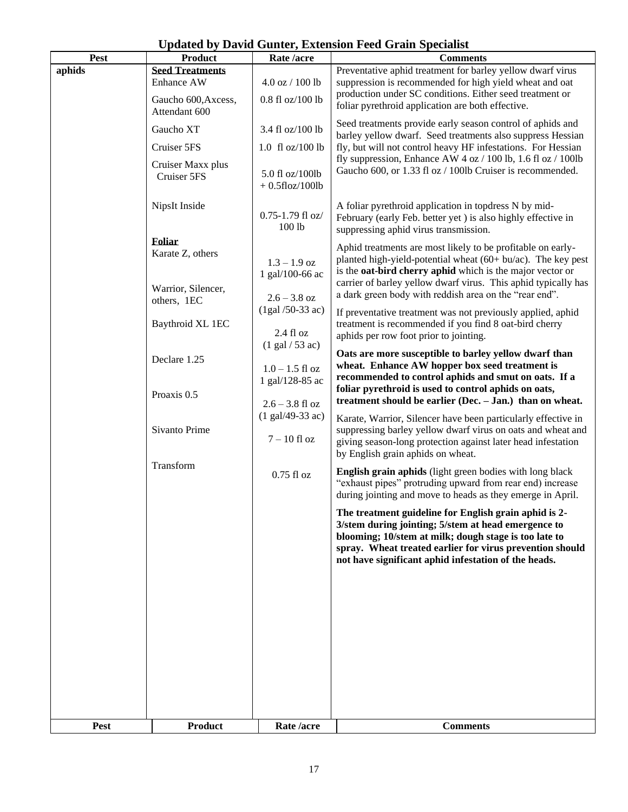| Pest        | <b>Product</b>                                                               | Rate /acre                                                                                     | <b>Comments</b>                                                                                                                                                                                                                                                                                                             |  |                                                                                                                                                                                                                                   |
|-------------|------------------------------------------------------------------------------|------------------------------------------------------------------------------------------------|-----------------------------------------------------------------------------------------------------------------------------------------------------------------------------------------------------------------------------------------------------------------------------------------------------------------------------|--|-----------------------------------------------------------------------------------------------------------------------------------------------------------------------------------------------------------------------------------|
| aphids      | <b>Seed Treatments</b><br>Enhance AW<br>Gaucho 600, Axcess,<br>Attendant 600 | $4.0$ oz $/ 100$ lb<br>$0.8$ fl oz/100 lb                                                      | Preventative aphid treatment for barley yellow dwarf virus<br>suppression is recommended for high yield wheat and oat<br>production under SC conditions. Either seed treatment or<br>foliar pyrethroid application are both effective.                                                                                      |  |                                                                                                                                                                                                                                   |
|             | Gaucho XT<br>Cruiser 5FS<br>Cruiser Maxx plus<br>Cruiser 5FS                 | 3.4 fl oz/100 lb<br>$1.0 \text{ fl oz}/100 \text{ lb}$<br>5.0 fl oz/100lb<br>$+0.5$ floz/100lb | Seed treatments provide early season control of aphids and<br>barley yellow dwarf. Seed treatments also suppress Hessian<br>fly, but will not control heavy HF infestations. For Hessian<br>fly suppression, Enhance AW 4 oz $/ 100$ lb, 1.6 fl oz $/ 100$ lb<br>Gaucho 600, or 1.33 fl oz / 100lb Cruiser is recommended.  |  |                                                                                                                                                                                                                                   |
|             | NipsIt Inside                                                                | $0.75 - 1.79$ fl oz/<br>100 lb                                                                 | A foliar pyrethroid application in topdress N by mid-<br>February (early Feb. better yet) is also highly effective in<br>suppressing aphid virus transmission.                                                                                                                                                              |  |                                                                                                                                                                                                                                   |
|             | <b>Foliar</b><br>Karate Z, others<br>Warrior, Silencer,                      | $1.3 - 1.9$ oz<br>1 gal/100-66 ac<br>$2.6 - 3.8$ oz                                            | Aphid treatments are most likely to be profitable on early-<br>planted high-yield-potential wheat (60+ bu/ac). The key pest<br>is the <b>oat-bird cherry aphid</b> which is the major vector or<br>carrier of barley yellow dwarf virus. This aphid typically has<br>a dark green body with reddish area on the "rear end". |  |                                                                                                                                                                                                                                   |
|             | others, 1EC<br>Baythroid XL 1EC                                              | $(1 gal / 50-33 ac)$<br>2.4 f1 oz<br>$(1$ gal $/$ 53 ac)                                       | If preventative treatment was not previously applied, aphid<br>treatment is recommended if you find 8 oat-bird cherry<br>aphids per row foot prior to jointing.                                                                                                                                                             |  |                                                                                                                                                                                                                                   |
|             | Declare 1.25<br>Proaxis 0.5                                                  | $1.0 - 1.5$ fl oz<br>1 gal/128-85 ac                                                           | Oats are more susceptible to barley yellow dwarf than<br>wheat. Enhance AW hopper box seed treatment is<br>recommended to control aphids and smut on oats. If a<br>foliar pyrethroid is used to control aphids on oats,<br>treatment should be earlier (Dec. - Jan.) than on wheat.                                         |  |                                                                                                                                                                                                                                   |
|             | Sivanto Prime                                                                | $2.6 - 3.8$ fl oz<br>$(1 gal/49-33 ac)$<br>$7 - 10$ fl oz                                      |                                                                                                                                                                                                                                                                                                                             |  | Karate, Warrior, Silencer have been particularly effective in<br>suppressing barley yellow dwarf virus on oats and wheat and<br>giving season-long protection against later head infestation<br>by English grain aphids on wheat. |
|             | Transform                                                                    | $0.75$ fl oz                                                                                   | <b>English grain aphids</b> (light green bodies with long black<br>"exhaust pipes" protruding upward from rear end) increase<br>during jointing and move to heads as they emerge in April.                                                                                                                                  |  |                                                                                                                                                                                                                                   |
|             |                                                                              |                                                                                                | The treatment guideline for English grain aphid is 2-<br>3/stem during jointing; 5/stem at head emergence to<br>blooming; 10/stem at milk; dough stage is too late to<br>spray. Wheat treated earlier for virus prevention should<br>not have significant aphid infestation of the heads.                                   |  |                                                                                                                                                                                                                                   |
|             |                                                                              |                                                                                                |                                                                                                                                                                                                                                                                                                                             |  |                                                                                                                                                                                                                                   |
|             |                                                                              |                                                                                                |                                                                                                                                                                                                                                                                                                                             |  |                                                                                                                                                                                                                                   |
| <b>Pest</b> | <b>Product</b>                                                               | Rate /acre                                                                                     | <b>Comments</b>                                                                                                                                                                                                                                                                                                             |  |                                                                                                                                                                                                                                   |

### **Updated by David Gunter, Extension Feed Grain Specialist**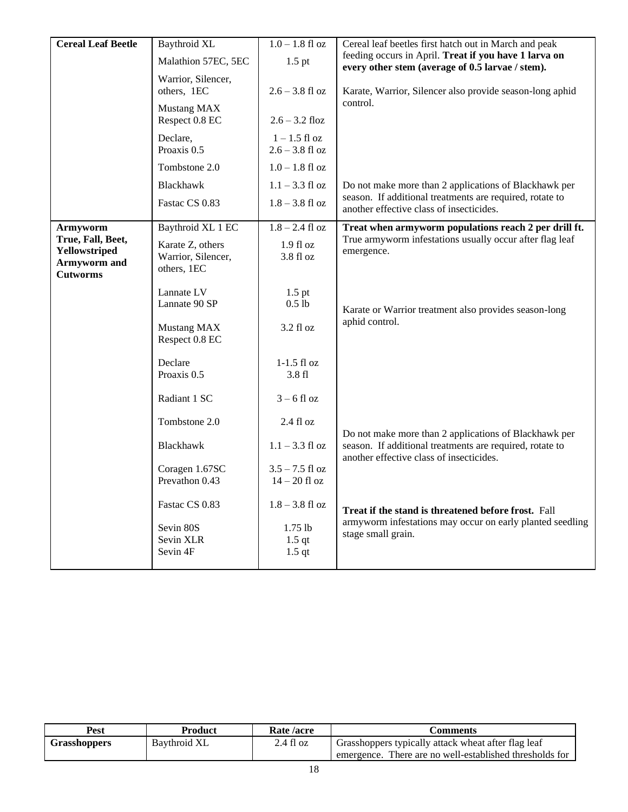| <b>Cereal Leaf Beetle</b>                                             | Baythroid XL                                          | $1.0 - 1.8$ fl oz                    | Cereal leaf beetles first hatch out in March and peak                                                     |
|-----------------------------------------------------------------------|-------------------------------------------------------|--------------------------------------|-----------------------------------------------------------------------------------------------------------|
|                                                                       | Malathion 57EC, 5EC                                   | $1.5$ pt                             | feeding occurs in April. Treat if you have 1 larva on<br>every other stem (average of 0.5 larvae / stem). |
|                                                                       | Warrior, Silencer,<br>others, 1EC                     | $2.6 - 3.8$ fl oz                    | Karate, Warrior, Silencer also provide season-long aphid                                                  |
|                                                                       | <b>Mustang MAX</b><br>Respect 0.8 EC                  | $2.6 - 3.2$ floz                     | control.                                                                                                  |
|                                                                       | Declare,<br>Proaxis 0.5                               | $1 - 1.5$ fl oz<br>$2.6 - 3.8$ fl oz |                                                                                                           |
|                                                                       | Tombstone 2.0                                         | $1.0 - 1.8$ fl oz                    |                                                                                                           |
|                                                                       | Blackhawk                                             | $1.1 - 3.3$ fl oz                    | Do not make more than 2 applications of Blackhawk per                                                     |
|                                                                       | Fastac CS 0.83                                        | $1.8 - 3.8$ fl oz                    | season. If additional treatments are required, rotate to<br>another effective class of insecticides.      |
| Armyworm                                                              | Baythroid XL 1 EC                                     | $1.8 - 2.4$ fl oz                    | Treat when armyworm populations reach 2 per drill ft.                                                     |
| True, Fall, Beet,<br>Yellowstriped<br>Armyworm and<br><b>Cutworms</b> | Karate Z, others<br>Warrior, Silencer,<br>others, 1EC | $1.9f1$ oz<br>3.8 fl oz              | True armyworm infestations usually occur after flag leaf<br>emergence.                                    |
|                                                                       | Lannate LV<br>Lannate 90 SP                           | $1.5$ pt<br>$0.5$ lb                 | Karate or Warrior treatment also provides season-long                                                     |
|                                                                       | Mustang MAX<br>Respect 0.8 EC                         | 3.2 fl oz                            | aphid control.                                                                                            |
|                                                                       | Declare<br>Proaxis 0.5                                | $1-1.5$ fl oz<br>3.8 fl              |                                                                                                           |
|                                                                       | Radiant 1 SC                                          | $3 - 6$ fl oz                        |                                                                                                           |
|                                                                       | Tombstone 2.0                                         | 2.4 fl oz                            | Do not make more than 2 applications of Blackhawk per                                                     |
|                                                                       | Blackhawk                                             | $1.1 - 3.3$ fl oz                    | season. If additional treatments are required, rotate to<br>another effective class of insecticides.      |
|                                                                       | Coragen 1.67SC<br>Prevathon 0.43                      | $3.5 - 7.5$ fl oz<br>$14 - 20$ fl oz |                                                                                                           |
|                                                                       | Fastac CS 0.83                                        | $1.8 - 3.8$ fl oz                    | Treat if the stand is threatened before frost. Fall                                                       |
|                                                                       | Sevin 80S<br>Sevin XLR<br>Sevin 4F                    | 1.75 lb<br>$1.5$ qt<br>$1.5$ qt      | armyworm infestations may occur on early planted seedling<br>stage small grain.                           |

| <b>Pest</b>         | <b>Product</b> | Rate /acre | Comments                                                |
|---------------------|----------------|------------|---------------------------------------------------------|
| <b>Grasshoppers</b> | Baythroid XL   | 2.4 fl oz  | Grasshoppers typically attack wheat after flag leaf     |
|                     |                |            | emergence. There are no well-established thresholds for |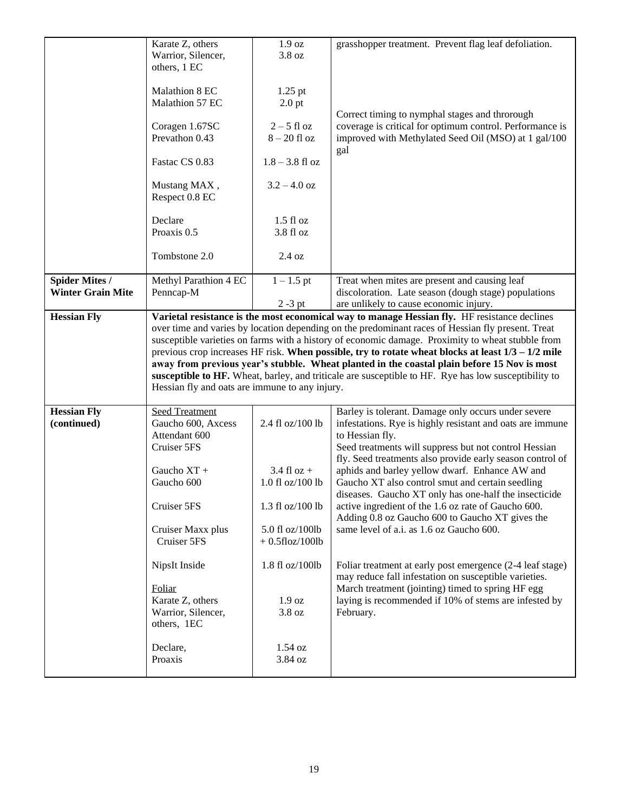|                          | Karate Z, others                               | 1.9 oz                | grasshopper treatment. Prevent flag leaf defoliation.                                                |
|--------------------------|------------------------------------------------|-----------------------|------------------------------------------------------------------------------------------------------|
|                          |                                                |                       |                                                                                                      |
|                          | Warrior, Silencer,                             | 3.8 oz                |                                                                                                      |
|                          | others, 1 EC                                   |                       |                                                                                                      |
|                          |                                                |                       |                                                                                                      |
|                          | Malathion 8 EC                                 | $1.25$ pt             |                                                                                                      |
|                          | Malathion 57 EC                                | $2.0$ pt              |                                                                                                      |
|                          |                                                |                       | Correct timing to nymphal stages and throrough                                                       |
|                          | Coragen 1.67SC                                 | $2 - 5$ fl oz         | coverage is critical for optimum control. Performance is                                             |
|                          | Prevathon 0.43                                 | $8-20$ fl oz          | improved with Methylated Seed Oil (MSO) at 1 gal/100                                                 |
|                          |                                                |                       |                                                                                                      |
|                          |                                                |                       | gal                                                                                                  |
|                          | Fastac CS 0.83                                 | $1.8 - 3.8$ fl oz     |                                                                                                      |
|                          |                                                |                       |                                                                                                      |
|                          | Mustang MAX,                                   | $3.2 - 4.0$ oz        |                                                                                                      |
|                          | Respect 0.8 EC                                 |                       |                                                                                                      |
|                          |                                                |                       |                                                                                                      |
|                          | Declare                                        | $1.5$ fl oz           |                                                                                                      |
|                          | Proaxis 0.5                                    | 3.8 fl oz             |                                                                                                      |
|                          |                                                |                       |                                                                                                      |
|                          |                                                |                       |                                                                                                      |
|                          | Tombstone 2.0                                  | 2.4 oz                |                                                                                                      |
|                          |                                                |                       |                                                                                                      |
| <b>Spider Mites /</b>    | Methyl Parathion 4 EC                          | $1 - 1.5$ pt          | Treat when mites are present and causing leaf                                                        |
| <b>Winter Grain Mite</b> | Penncap-M                                      |                       | discoloration. Late season (dough stage) populations                                                 |
|                          |                                                | $2 - 3$ pt            | are unlikely to cause economic injury.                                                               |
| <b>Hessian Fly</b>       |                                                |                       | Varietal resistance is the most economical way to manage Hessian fly. HF resistance declines         |
|                          |                                                |                       | over time and varies by location depending on the predominant races of Hessian fly present. Treat    |
|                          |                                                |                       | susceptible varieties on farms with a history of economic damage. Proximity to wheat stubble from    |
|                          |                                                |                       |                                                                                                      |
|                          |                                                |                       |                                                                                                      |
|                          |                                                |                       | previous crop increases HF risk. When possible, try to rotate wheat blocks at least $1/3 - 1/2$ mile |
|                          |                                                |                       | away from previous year's stubble. Wheat planted in the coastal plain before 15 Nov is most          |
|                          |                                                |                       | susceptible to HF. Wheat, barley, and triticale are susceptible to HF. Rye has low susceptibility to |
|                          | Hessian fly and oats are immune to any injury. |                       |                                                                                                      |
|                          |                                                |                       |                                                                                                      |
| <b>Hessian Fly</b>       | <b>Seed Treatment</b>                          |                       | Barley is tolerant. Damage only occurs under severe                                                  |
| (continued)              | Gaucho 600, Axcess                             | 2.4 fl oz/100 lb      | infestations. Rye is highly resistant and oats are immune                                            |
|                          |                                                |                       |                                                                                                      |
|                          | Attendant 600                                  |                       | to Hessian fly.                                                                                      |
|                          | Cruiser 5FS                                    |                       | Seed treatments will suppress but not control Hessian                                                |
|                          |                                                |                       | fly. Seed treatments also provide early season control of                                            |
|                          | Gaucho XT +                                    | $3.4$ fl oz +         | aphids and barley yellow dwarf. Enhance AW and                                                       |
|                          | Gaucho 600                                     | $1.0$ fl oz/ $100$ lb | Gaucho XT also control smut and certain seedling                                                     |
|                          |                                                |                       | diseases. Gaucho XT only has one-half the insecticide                                                |
|                          | Cruiser 5FS                                    | 1.3 fl oz/100 lb      | active ingredient of the 1.6 oz rate of Gaucho 600.                                                  |
|                          |                                                |                       | Adding 0.8 oz Gaucho 600 to Gaucho XT gives the                                                      |
|                          | Cruiser Maxx plus                              | 5.0 fl oz/100lb       |                                                                                                      |
|                          | Cruiser 5FS                                    |                       | same level of a.i. as 1.6 oz Gaucho 600.                                                             |
|                          |                                                | $+0.5$ floz/100lb     |                                                                                                      |
|                          |                                                |                       |                                                                                                      |
|                          | NipsIt Inside                                  | 1.8 fl oz/100lb       | Foliar treatment at early post emergence (2-4 leaf stage)                                            |
|                          |                                                |                       | may reduce fall infestation on susceptible varieties.                                                |
|                          | Foliar                                         |                       | March treatment (jointing) timed to spring HF egg                                                    |
|                          | Karate Z, others                               | 1.9 oz                | laying is recommended if 10% of stems are infested by                                                |
|                          | Warrior, Silencer,                             | 3.8 oz                | February.                                                                                            |
|                          | others, 1EC                                    |                       |                                                                                                      |
|                          |                                                |                       |                                                                                                      |
|                          | Declare,                                       | 1.54 oz               |                                                                                                      |
|                          |                                                |                       |                                                                                                      |
|                          | Proaxis                                        | 3.84 oz               |                                                                                                      |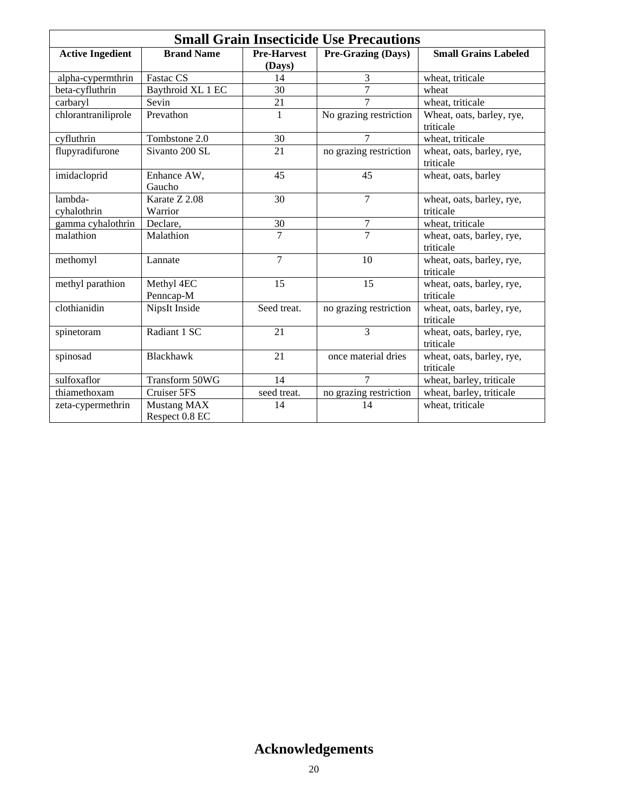| <b>Small Grain Insecticide Use Precautions</b> |                               |                              |                           |                                        |  |  |
|------------------------------------------------|-------------------------------|------------------------------|---------------------------|----------------------------------------|--|--|
| <b>Active Ingedient</b>                        | <b>Brand Name</b>             | <b>Pre-Harvest</b><br>(Days) | <b>Pre-Grazing (Days)</b> | <b>Small Grains Labeled</b>            |  |  |
| alpha-cypermthrin                              | Fastac CS                     | 14                           | 3                         | wheat, triticale                       |  |  |
| beta-cyfluthrin                                | Baythroid XL 1 EC             | 30                           | 7                         | wheat                                  |  |  |
| carbaryl                                       | Sevin                         | 21                           | $\overline{7}$            | wheat, triticale                       |  |  |
| chlorantraniliprole                            | Prevathon                     | $\mathbf{1}$                 | No grazing restriction    | Wheat, oats, barley, rye,<br>triticale |  |  |
| cyfluthrin                                     | Tombstone 2.0                 | 30                           | 7                         | wheat, triticale                       |  |  |
| flupyradifurone                                | Sivanto 200 SL                | 21                           | no grazing restriction    | wheat, oats, barley, rye,<br>triticale |  |  |
| imidacloprid                                   | Enhance AW,<br>Gaucho         | 45                           | 45                        | wheat, oats, barley                    |  |  |
| lambda-<br>cyhalothrin                         | Karate Z 2.08<br>Warrior      | 30                           | $\overline{7}$            | wheat, oats, barley, rye,<br>triticale |  |  |
| gamma cyhalothrin                              | Declare,                      | 30                           | 7                         | wheat, triticale                       |  |  |
| malathion                                      | Malathion                     | $\overline{7}$               | $\overline{7}$            | wheat, oats, barley, rye,<br>triticale |  |  |
| methomyl                                       | Lannate                       | $\overline{7}$               | 10                        | wheat, oats, barley, rye,<br>triticale |  |  |
| methyl parathion                               | Methyl 4EC<br>Penncap-M       | 15                           | 15                        | wheat, oats, barley, rye,<br>triticale |  |  |
| clothianidin                                   | NipsIt Inside                 | Seed treat.                  | no grazing restriction    | wheat, oats, barley, rye,<br>triticale |  |  |
| spinetoram                                     | Radiant 1 SC                  | 21                           | 3                         | wheat, oats, barley, rye,<br>triticale |  |  |
| spinosad                                       | Blackhawk                     | 21                           | once material dries       | wheat, oats, barley, rye,<br>triticale |  |  |
| sulfoxaflor                                    | Transform 50WG                | 14                           | 7                         | wheat, barley, triticale               |  |  |
| thiamethoxam                                   | Cruiser 5FS                   | seed treat.                  | no grazing restriction    | wheat, barley, triticale               |  |  |
| zeta-cypermethrin                              | Mustang MAX<br>Respect 0.8 EC | 14                           | 14                        | wheat, triticale                       |  |  |

## **Acknowledgements**